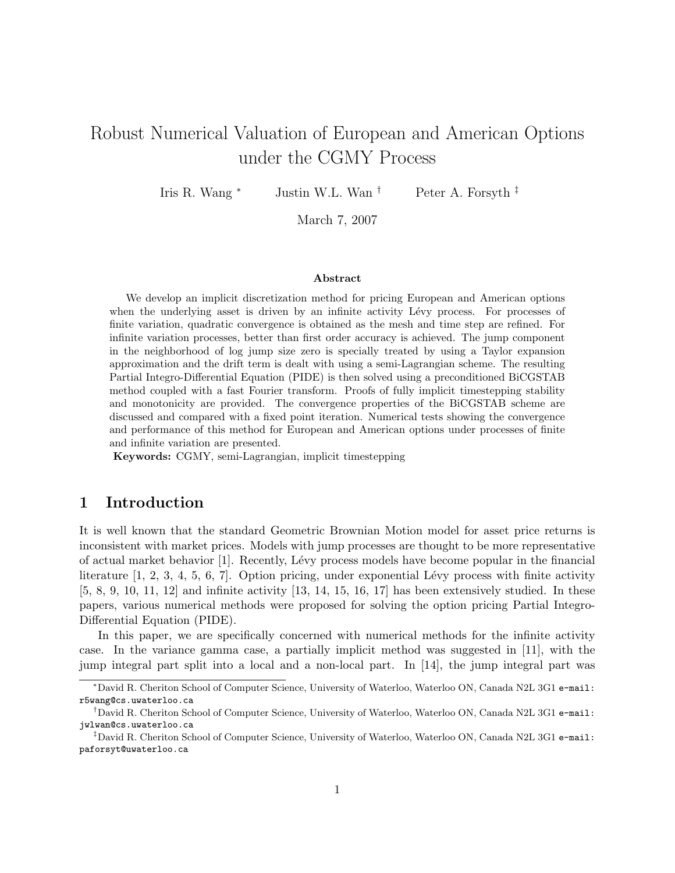# Robust Numerical Valuation of European and American Options under the CGMY Process

Iris R. Wang <sup>∗</sup> Justin W.L. Wan † Peter A. Forsyth ‡

March 7, 2007

#### Abstract

We develop an implicit discretization method for pricing European and American options when the underlying asset is driven by an infinite activity Lévy process. For processes of finite variation, quadratic convergence is obtained as the mesh and time step are refined. For infinite variation processes, better than first order accuracy is achieved. The jump component in the neighborhood of log jump size zero is specially treated by using a Taylor expansion approximation and the drift term is dealt with using a semi-Lagrangian scheme. The resulting Partial Integro-Differential Equation (PIDE) is then solved using a preconditioned BiCGSTAB method coupled with a fast Fourier transform. Proofs of fully implicit timestepping stability and monotonicity are provided. The convergence properties of the BiCGSTAB scheme are discussed and compared with a fixed point iteration. Numerical tests showing the convergence and performance of this method for European and American options under processes of finite and infinite variation are presented.

Keywords: CGMY, semi-Lagrangian, implicit timestepping

### 1 Introduction

It is well known that the standard Geometric Brownian Motion model for asset price returns is inconsistent with market prices. Models with jump processes are thought to be more representative of actual market behavior [1]. Recently, Lévy process models have become popular in the financial literature  $[1, 2, 3, 4, 5, 6, 7]$ . Option pricing, under exponential Lévy process with finite activity  $[5, 8, 9, 10, 11, 12]$  and infinite activity  $[13, 14, 15, 16, 17]$  has been extensively studied. In these papers, various numerical methods were proposed for solving the option pricing Partial Integro-Differential Equation (PIDE).

In this paper, we are specifically concerned with numerical methods for the infinite activity case. In the variance gamma case, a partially implicit method was suggested in [11], with the jump integral part split into a local and a non-local part. In [14], the jump integral part was

<sup>∗</sup>David R. Cheriton School of Computer Science, University of Waterloo, Waterloo ON, Canada N2L 3G1 e-mail: r5wang@cs.uwaterloo.ca

<sup>†</sup>David R. Cheriton School of Computer Science, University of Waterloo, Waterloo ON, Canada N2L 3G1 e-mail: jwlwan@cs.uwaterloo.ca

<sup>‡</sup>David R. Cheriton School of Computer Science, University of Waterloo, Waterloo ON, Canada N2L 3G1 e-mail: paforsyt@uwaterloo.ca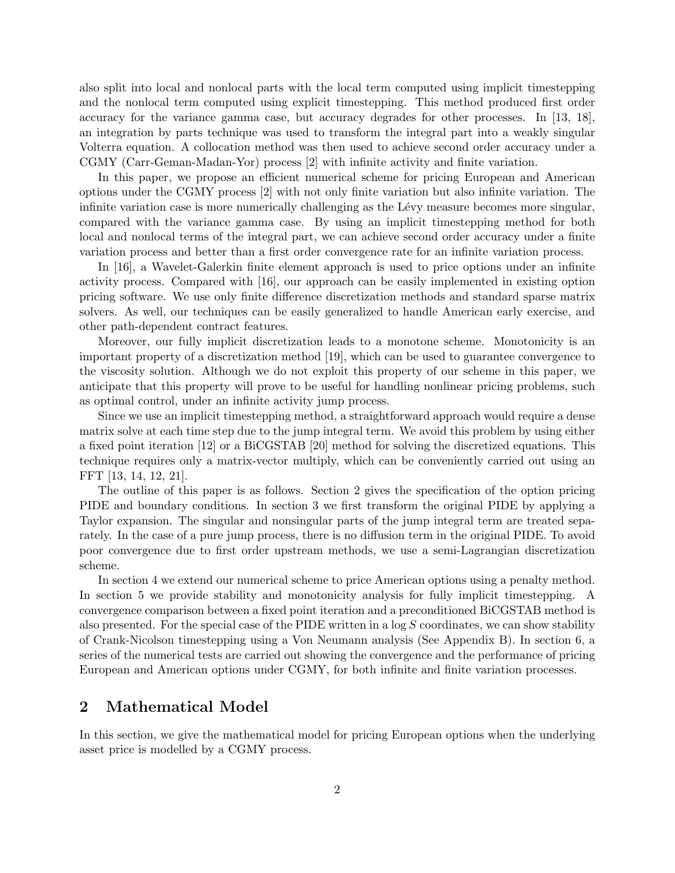also split into local and nonlocal parts with the local term computed using implicit timestepping and the nonlocal term computed using explicit timestepping. This method produced first order accuracy for the variance gamma case, but accuracy degrades for other processes. In [13, 18], an integration by parts technique was used to transform the integral part into a weakly singular Volterra equation. A collocation method was then used to achieve second order accuracy under a CGMY (Carr-Geman-Madan-Yor) process [2] with infinite activity and finite variation.

In this paper, we propose an efficient numerical scheme for pricing European and American options under the CGMY process [2] with not only finite variation but also infinite variation. The infinite variation case is more numerically challenging as the Lévy measure becomes more singular, compared with the variance gamma case. By using an implicit timestepping method for both local and nonlocal terms of the integral part, we can achieve second order accuracy under a finite variation process and better than a first order convergence rate for an infinite variation process.

In [16], a Wavelet-Galerkin finite element approach is used to price options under an infinite activity process. Compared with [16], our approach can be easily implemented in existing option pricing software. We use only finite difference discretization methods and standard sparse matrix solvers. As well, our techniques can be easily generalized to handle American early exercise, and other path-dependent contract features.

Moreover, our fully implicit discretization leads to a monotone scheme. Monotonicity is an important property of a discretization method [19], which can be used to guarantee convergence to the viscosity solution. Although we do not exploit this property of our scheme in this paper, we anticipate that this property will prove to be useful for handling nonlinear pricing problems, such as optimal control, under an infinite activity jump process.

Since we use an implicit timestepping method, a straightforward approach would require a dense matrix solve at each time step due to the jump integral term. We avoid this problem by using either a fixed point iteration [12] or a BiCGSTAB [20] method for solving the discretized equations. This technique requires only a matrix-vector multiply, which can be conveniently carried out using an FFT [13, 14, 12, 21].

The outline of this paper is as follows. Section 2 gives the specification of the option pricing PIDE and boundary conditions. In section 3 we first transform the original PIDE by applying a Taylor expansion. The singular and nonsingular parts of the jump integral term are treated separately. In the case of a pure jump process, there is no diffusion term in the original PIDE. To avoid poor convergence due to first order upstream methods, we use a semi-Lagrangian discretization scheme.

In section 4 we extend our numerical scheme to price American options using a penalty method. In section 5 we provide stability and monotonicity analysis for fully implicit timestepping. A convergence comparison between a fixed point iteration and a preconditioned BiCGSTAB method is also presented. For the special case of the PIDE written in a  $\log S$  coordinates, we can show stability of Crank-Nicolson timestepping using a Von Neumann analysis (See Appendix B). In section 6, a series of the numerical tests are carried out showing the convergence and the performance of pricing European and American options under CGMY, for both infinite and finite variation processes.

### 2 Mathematical Model

In this section, we give the mathematical model for pricing European options when the underlying asset price is modelled by a CGMY process.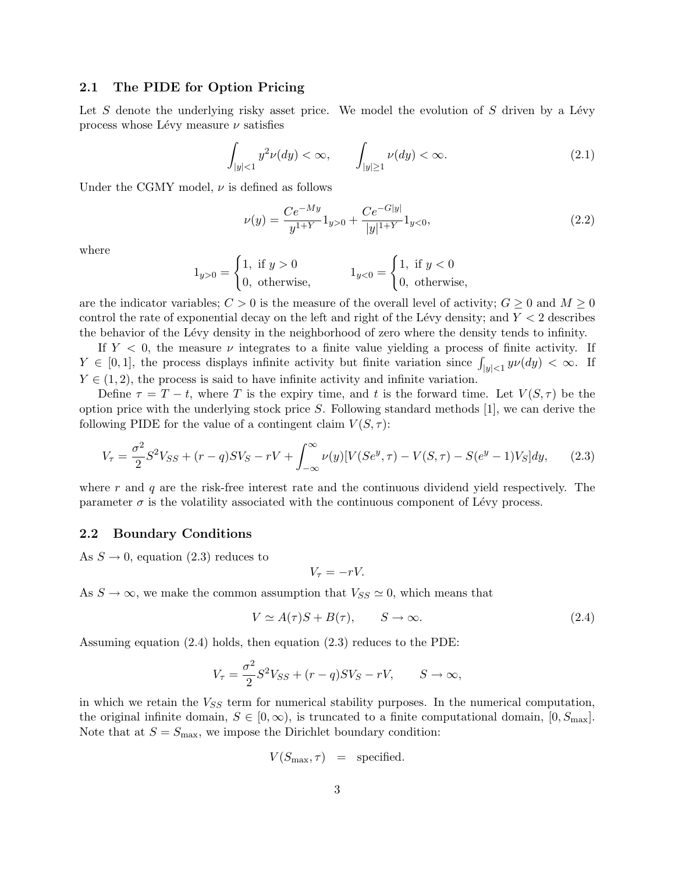### 2.1 The PIDE for Option Pricing

Let S denote the underlying risky asset price. We model the evolution of S driven by a Lévy process whose Lévy measure  $\nu$  satisfies

$$
\int_{|y|<1} y^2 \nu(dy)<\infty, \qquad \int_{|y|\geq 1} \nu(dy)<\infty. \tag{2.1}
$$

Under the CGMY model,  $\nu$  is defined as follows

$$
\nu(y) = \frac{Ce^{-My}}{y^{1+Y}} 1_{y>0} + \frac{Ce^{-G|y|}}{|y|^{1+Y}} 1_{y<0},\tag{2.2}
$$

where

$$
1_{y>0} = \begin{cases} 1, & \text{if } y > 0 \\ 0, & \text{otherwise,} \end{cases} \qquad \qquad 1_{y<0} = \begin{cases} 1, & \text{if } y < 0 \\ 0, & \text{otherwise,} \end{cases}
$$

are the indicator variables;  $C > 0$  is the measure of the overall level of activity;  $G \geq 0$  and  $M \geq 0$ control the rate of exponential decay on the left and right of the Lévy density; and  $Y < 2$  describes the behavior of the Lévy density in the neighborhood of zero where the density tends to infinity.

If  $Y < 0$ , the measure  $\nu$  integrates to a finite value yielding a process of finite activity. If  $Y \in [0, 1]$ , the process displays infinite activity but finite variation since  $\int_{|y| < 1} y \nu(dy) < \infty$ . If  $Y \in (1, 2)$ , the process is said to have infinite activity and infinite variation.

Define  $\tau = T - t$ , where T is the expiry time, and t is the forward time. Let  $V(S, \tau)$  be the option price with the underlying stock price  $S$ . Following standard methods [1], we can derive the following PIDE for the value of a contingent claim  $V(S, \tau)$ :

$$
V_{\tau} = \frac{\sigma^2}{2} S^2 V_{SS} + (r - q) S V_S - rV + \int_{-\infty}^{\infty} \nu(y) [V(Se^y, \tau) - V(S, \tau) - S(e^y - 1)V_S] dy, \tag{2.3}
$$

where  $r$  and  $q$  are the risk-free interest rate and the continuous dividend yield respectively. The parameter  $\sigma$  is the volatility associated with the continuous component of Lévy process.

#### 2.2 Boundary Conditions

As  $S \to 0$ , equation (2.3) reduces to

$$
V_{\tau} = -rV.
$$

As  $S \to \infty$ , we make the common assumption that  $V_{SS} \simeq 0$ , which means that

$$
V \simeq A(\tau)S + B(\tau), \qquad S \to \infty. \tag{2.4}
$$

Assuming equation (2.4) holds, then equation (2.3) reduces to the PDE:

$$
V_{\tau} = \frac{\sigma^2}{2} S^2 V_{SS} + (r - q) S V_S - r V, \qquad S \to \infty,
$$

in which we retain the  $V_{SS}$  term for numerical stability purposes. In the numerical computation, the original infinite domain,  $S \in [0, \infty)$ , is truncated to a finite computational domain,  $[0, S_{\text{max}}]$ . Note that at  $S = S_{\text{max}}$ , we impose the Dirichlet boundary condition:

$$
V(S_{\text{max}}, \tau) = \text{specified.}
$$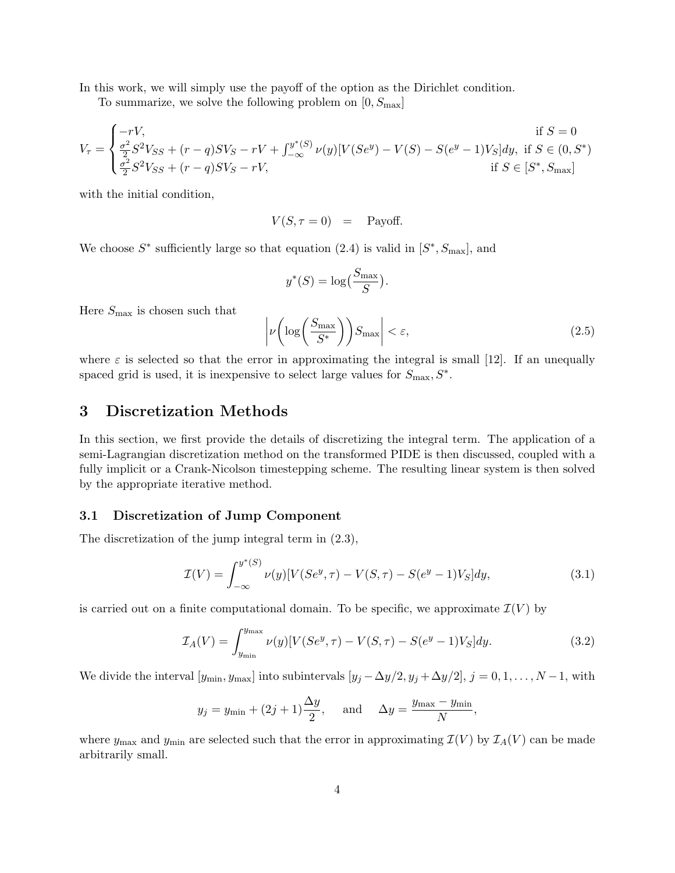In this work, we will simply use the payoff of the option as the Dirichlet condition.

To summarize, we solve the following problem on  $[0, S_{\text{max}}]$ 

$$
V_{\tau} = \begin{cases} -rV, & \text{if } S = 0\\ \frac{\sigma^2}{2}S^2V_{SS} + (r - q)SV_S - rV + \int_{-\infty}^{y^*(S)} \nu(y)[V(Se^y) - V(S) - S(e^y - 1)V_S]dy, & \text{if } S \in (0, S^*)\\ \frac{\sigma^2}{2}S^2V_{SS} + (r - q)SV_S - rV, & \text{if } S \in [S^*, S_{\text{max}}] \end{cases}
$$

with the initial condition,

$$
V(S, \tau = 0) = \text{Payoff.}
$$

We choose  $S^*$  sufficiently large so that equation (2.4) is valid in  $[S^*, S_{\text{max}}]$ , and

$$
y^*(S) = \log\left(\frac{S_{\max}}{S}\right).
$$

Here  $S_{\rm max}$  is chosen such that

$$
\left| \nu \left( \log \left( \frac{S_{\text{max}}}{S^*} \right) \right) S_{\text{max}} \right| < \varepsilon,\tag{2.5}
$$

where  $\varepsilon$  is selected so that the error in approximating the integral is small [12]. If an unequally spaced grid is used, it is inexpensive to select large values for  $S_{\text{max}}$ ,  $S^*$ .

### 3 Discretization Methods

In this section, we first provide the details of discretizing the integral term. The application of a semi-Lagrangian discretization method on the transformed PIDE is then discussed, coupled with a fully implicit or a Crank-Nicolson timestepping scheme. The resulting linear system is then solved by the appropriate iterative method.

#### 3.1 Discretization of Jump Component

The discretization of the jump integral term in (2.3),

$$
\mathcal{I}(V) = \int_{-\infty}^{y^*(S)} \nu(y) [V(Se^y, \tau) - V(S, \tau) - S(e^y - 1)V_S] dy, \tag{3.1}
$$

is carried out on a finite computational domain. To be specific, we approximate  $\mathcal{I}(V)$  by

$$
\mathcal{I}_A(V) = \int_{y_{\min}}^{y_{\max}} \nu(y) [V(Se^y, \tau) - V(S, \tau) - S(e^y - 1)V_S] dy. \tag{3.2}
$$

We divide the interval  $[y_{\min}, y_{\max}]$  into subintervals  $[y_j - \Delta y/2, y_j + \Delta y/2], j = 0, 1, ..., N - 1$ , with

$$
y_j = y_{\min} + (2j+1)\frac{\Delta y}{2}
$$
, and  $\Delta y = \frac{y_{\max} - y_{\min}}{N}$ ,

where  $y_{\text{max}}$  and  $y_{\text{min}}$  are selected such that the error in approximating  $\mathcal{I}(V)$  by  $\mathcal{I}_A(V)$  can be made arbitrarily small.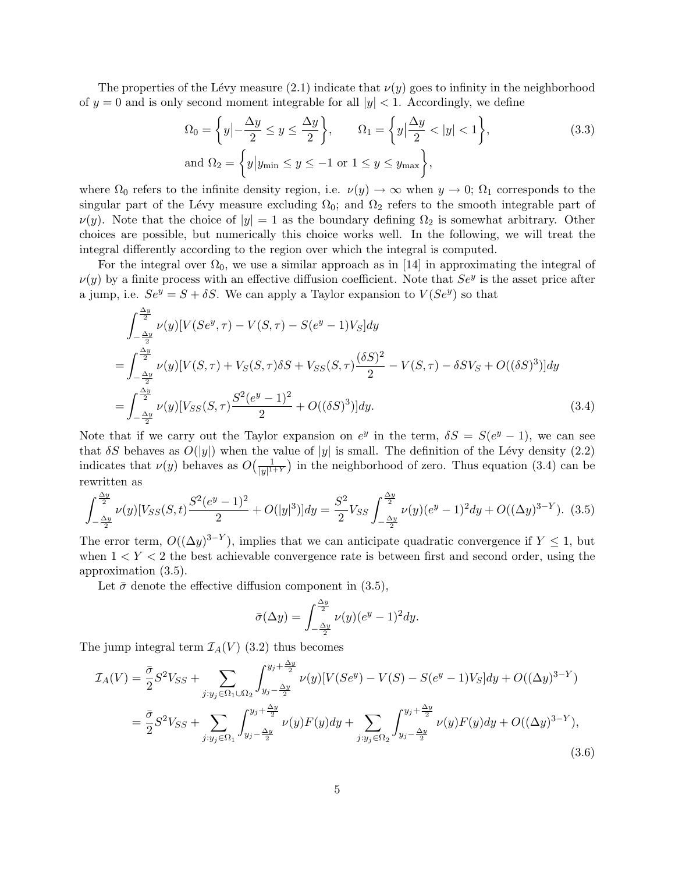The properties of the Lévy measure  $(2.1)$  indicate that  $\nu(y)$  goes to infinity in the neighborhood of  $y = 0$  and is only second moment integrable for all  $|y| < 1$ . Accordingly, we define

$$
\Omega_0 = \left\{ y \middle| -\frac{\Delta y}{2} \le y \le \frac{\Delta y}{2} \right\}, \qquad \Omega_1 = \left\{ y \middle| \frac{\Delta y}{2} < |y| < 1 \right\},\tag{3.3}
$$
\n
$$
\text{and } \Omega_2 = \left\{ y \middle| y_{\text{min}} \le y \le -1 \text{ or } 1 \le y \le y_{\text{max}} \right\},\
$$

where  $\Omega_0$  refers to the infinite density region, i.e.  $\nu(y) \to \infty$  when  $y \to 0$ ;  $\Omega_1$  corresponds to the singular part of the Lévy measure excluding  $\Omega_0$ ; and  $\Omega_2$  refers to the smooth integrable part of  $\nu(y)$ . Note that the choice of  $|y|=1$  as the boundary defining  $\Omega_2$  is somewhat arbitrary. Other choices are possible, but numerically this choice works well. In the following, we will treat the integral differently according to the region over which the integral is computed.

For the integral over  $\Omega_0$ , we use a similar approach as in [14] in approximating the integral of  $\nu(y)$  by a finite process with an effective diffusion coefficient. Note that  $Se^y$  is the asset price after a jump, i.e.  $Se^y = S + \delta S$ . We can apply a Taylor expansion to  $V(Se^y)$  so that

$$
\int_{-\frac{\Delta y}{2}}^{\frac{\Delta y}{2}} \nu(y) [V(Se^y, \tau) - V(S, \tau) - S(e^y - 1)V_S] dy
$$
  
= 
$$
\int_{-\frac{\Delta y}{2}}^{\frac{\Delta y}{2}} \nu(y) [V(S, \tau) + V_S(S, \tau) \delta S + V_{SS}(S, \tau) \frac{(\delta S)^2}{2} - V(S, \tau) - \delta S V_S + O((\delta S)^3)] dy
$$
  
= 
$$
\int_{-\frac{\Delta y}{2}}^{\frac{\Delta y}{2}} \nu(y) [V_{SS}(S, \tau) \frac{S^2 (e^y - 1)^2}{2} + O((\delta S)^3)] dy.
$$
 (3.4)

Note that if we carry out the Taylor expansion on  $e^y$  in the term,  $\delta S = S(e^y - 1)$ , we can see that  $\delta S$  behaves as  $O(|y|)$  when the value of |y| is small. The definition of the Lévy density (2.2) indicates that  $\nu(y)$  behaves as  $O\left(\frac{1}{|y|^{1}}\right)$  $\frac{1}{|y|^{1+\gamma}}$  in the neighborhood of zero. Thus equation (3.4) can be rewritten as

$$
\int_{-\frac{\Delta y}{2}}^{\frac{\Delta y}{2}} \nu(y) [V_{SS}(S,t) \frac{S^2 (e^y - 1)^2}{2} + O(|y|^3)] dy = \frac{S^2}{2} V_{SS} \int_{-\frac{\Delta y}{2}}^{\frac{\Delta y}{2}} \nu(y) (e^y - 1)^2 dy + O((\Delta y)^{3 - Y}).
$$
 (3.5)

The error term,  $O((\Delta y)^{3-Y})$ , implies that we can anticipate quadratic convergence if  $Y \leq 1$ , but when  $1 < Y < 2$  the best achievable convergence rate is between first and second order, using the approximation (3.5).

Let  $\bar{\sigma}$  denote the effective diffusion component in (3.5),

$$
\bar{\sigma}(\Delta y) = \int_{-\frac{\Delta y}{2}}^{\frac{\Delta y}{2}} \nu(y) (e^y - 1)^2 dy.
$$

The jump integral term  $\mathcal{I}_A(V)$  (3.2) thus becomes

$$
\mathcal{I}_A(V) = \frac{\bar{\sigma}}{2} S^2 V_{SS} + \sum_{j:y_j \in \Omega_1 \cup \Omega_2} \int_{y_j - \frac{\Delta y}{2}}^{y_j + \frac{\Delta y}{2}} \nu(y) [V(Se^y) - V(S) - S(e^y - 1)V_S] dy + O((\Delta y)^{3-Y})
$$
  

$$
= \frac{\bar{\sigma}}{2} S^2 V_{SS} + \sum_{j:y_j \in \Omega_1} \int_{y_j - \frac{\Delta y}{2}}^{y_j + \frac{\Delta y}{2}} \nu(y) F(y) dy + \sum_{j:y_j \in \Omega_2} \int_{y_j - \frac{\Delta y}{2}}^{y_j + \frac{\Delta y}{2}} \nu(y) F(y) dy + O((\Delta y)^{3-Y}),
$$
\n(3.6)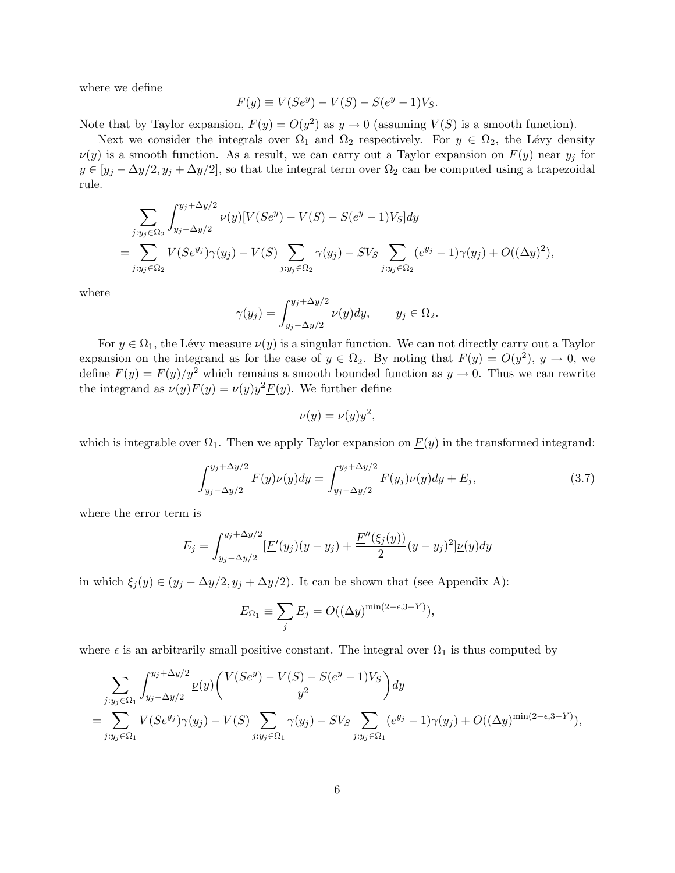where we define

$$
F(y) \equiv V(Se^y) - V(S) - S(e^y - 1)V_S.
$$

Note that by Taylor expansion,  $F(y) = O(y^2)$  as  $y \to 0$  (assuming  $V(S)$  is a smooth function).

Next we consider the integrals over  $\Omega_1$  and  $\Omega_2$  respectively. For  $y \in \Omega_2$ , the Lévy density  $\nu(y)$  is a smooth function. As a result, we can carry out a Taylor expansion on  $F(y)$  near  $y_j$  for  $y \in [y_j - \Delta y/2, y_j + \Delta y/2]$ , so that the integral term over  $\Omega_2$  can be computed using a trapezoidal rule.

$$
\sum_{j:y_j \in \Omega_2} \int_{y_j - \Delta y/2}^{y_j + \Delta y/2} \nu(y) [V(Se^y) - V(S) - S(e^y - 1)V_S] dy
$$
  
= 
$$
\sum_{j:y_j \in \Omega_2} V(Se^{y_j}) \gamma(y_j) - V(S) \sum_{j:y_j \in \Omega_2} \gamma(y_j) - SV_S \sum_{j:y_j \in \Omega_2} (e^{y_j} - 1) \gamma(y_j) + O((\Delta y)^2),
$$

where

$$
\gamma(y_j) = \int_{y_j - \Delta y/2}^{y_j + \Delta y/2} \nu(y) dy, \qquad y_j \in \Omega_2.
$$

For  $y \in \Omega_1$ , the Lévy measure  $\nu(y)$  is a singular function. We can not directly carry out a Taylor expansion on the integrand as for the case of  $y \in \Omega_2$ . By noting that  $F(y) = O(y^2)$ ,  $y \to 0$ , we define  $\underline{F}(y) = F(y)/y^2$  which remains a smooth bounded function as  $y \to 0$ . Thus we can rewrite the integrand as  $\nu(y)F(y) = \nu(y)y^2 \underline{F}(y)$ . We further define

$$
\underline{\nu}(y) = \nu(y)y^2,
$$

which is integrable over  $\Omega_1$ . Then we apply Taylor expansion on  $\underline{F}(y)$  in the transformed integrand:

$$
\int_{y_j - \Delta y/2}^{y_j + \Delta y/2} \underline{F}(y) \underline{\nu}(y) dy = \int_{y_j - \Delta y/2}^{y_j + \Delta y/2} \underline{F}(y_j) \underline{\nu}(y) dy + E_j,
$$
\n(3.7)

where the error term is

$$
E_j = \int_{y_j - \Delta y/2}^{y_j + \Delta y/2} \left[ \underline{F}'(y_j)(y - y_j) + \frac{\underline{F}''(\xi_j(y))}{2} (y - y_j)^2 \right] \underline{\nu}(y) dy
$$

in which  $\xi_j(y) \in (y_j - \Delta y/2, y_j + \Delta y/2)$ . It can be shown that (see Appendix A):

$$
E_{\Omega_1} \equiv \sum_j E_j = O((\Delta y)^{\min(2-\epsilon, 3-Y)}),
$$

where  $\epsilon$  is an arbitrarily small positive constant. The integral over  $\Omega_1$  is thus computed by

$$
\sum_{j:y_j \in \Omega_1} \int_{y_j - \Delta y/2}^{y_j + \Delta y/2} \underline{\nu}(y) \left( \frac{V(Se^y) - V(S) - S(e^y - 1)V_S}{y^2} \right) dy
$$
  
= 
$$
\sum_{j:y_j \in \Omega_1} V(Se^{y_j}) \gamma(y_j) - V(S) \sum_{j:y_j \in \Omega_1} \gamma(y_j) - SV_S \sum_{j:y_j \in \Omega_1} (e^{y_j} - 1) \gamma(y_j) + O((\Delta y)^{\min(2 - \epsilon, 3 - Y)}),
$$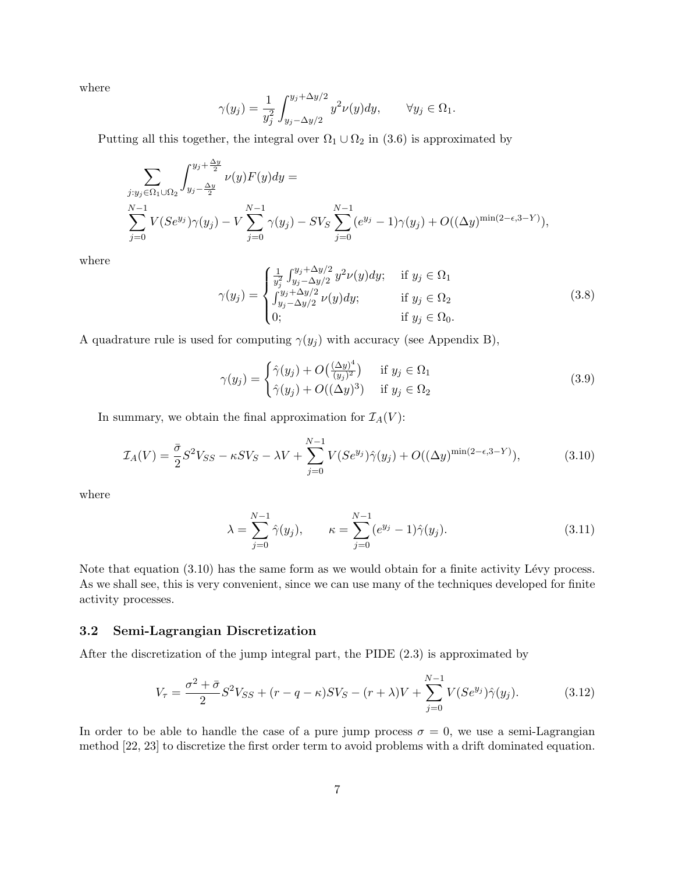where

$$
\gamma(y_j) = \frac{1}{y_j^2} \int_{y_j - \Delta y/2}^{y_j + \Delta y/2} y^2 \nu(y) dy, \qquad \forall y_j \in \Omega_1.
$$

Putting all this together, the integral over  $\Omega_1 \cup \Omega_2$  in (3.6) is approximated by

$$
\sum_{\substack{j:y_j \in \Omega_1 \cup \Omega_2}} \int_{y_j - \frac{\Delta y}{2}}^{y_j + \frac{\Delta y}{2}} \nu(y) F(y) dy =
$$
  

$$
\sum_{j=0}^{N-1} V(Se^{y_j}) \gamma(y_j) - V \sum_{j=0}^{N-1} \gamma(y_j) - SV_S \sum_{j=0}^{N-1} (e^{y_j} - 1) \gamma(y_j) + O((\Delta y)^{\min(2-\epsilon, 3-Y)}),
$$

where

$$
\gamma(y_j) = \begin{cases}\n\frac{1}{y_j^2} \int_{y_j - \Delta y/2}^{y_j + \Delta y/2} y^2 \nu(y) dy; & \text{if } y_j \in \Omega_1 \\
\int_{y_j - \Delta y/2}^{y_j + \Delta y/2} \nu(y) dy; & \text{if } y_j \in \Omega_2 \\
0; & \text{if } y_j \in \Omega_0.\n\end{cases}
$$
\n(3.8)

A quadrature rule is used for computing  $\gamma(y_j)$  with accuracy (see Appendix B),

$$
\gamma(y_j) = \begin{cases} \hat{\gamma}(y_j) + O\left(\frac{(\Delta y)^4}{(y_j)^2}\right) & \text{if } y_j \in \Omega_1 \\ \hat{\gamma}(y_j) + O\left((\Delta y)^3\right) & \text{if } y_j \in \Omega_2 \end{cases}
$$
\n(3.9)

In summary, we obtain the final approximation for  $\mathcal{I}_A(V)$ :

$$
\mathcal{I}_A(V) = \frac{\bar{\sigma}}{2} S^2 V_{SS} - \kappa S V_S - \lambda V + \sum_{j=0}^{N-1} V(S e^{y_j}) \hat{\gamma}(y_j) + O((\Delta y)^{\min(2-\epsilon, 3-Y)}),\tag{3.10}
$$

where

$$
\lambda = \sum_{j=0}^{N-1} \hat{\gamma}(y_j), \qquad \kappa = \sum_{j=0}^{N-1} (e^{y_j} - 1)\hat{\gamma}(y_j).
$$
 (3.11)

Note that equation  $(3.10)$  has the same form as we would obtain for a finite activity Lévy process. As we shall see, this is very convenient, since we can use many of the techniques developed for finite activity processes.

#### 3.2 Semi-Lagrangian Discretization

After the discretization of the jump integral part, the PIDE (2.3) is approximated by

$$
V_{\tau} = \frac{\sigma^2 + \bar{\sigma}}{2} S^2 V_{SS} + (r - q - \kappa) S V_S - (r + \lambda) V + \sum_{j=0}^{N-1} V (S e^{y_j}) \hat{\gamma}(y_j).
$$
 (3.12)

In order to be able to handle the case of a pure jump process  $\sigma = 0$ , we use a semi-Lagrangian method [22, 23] to discretize the first order term to avoid problems with a drift dominated equation.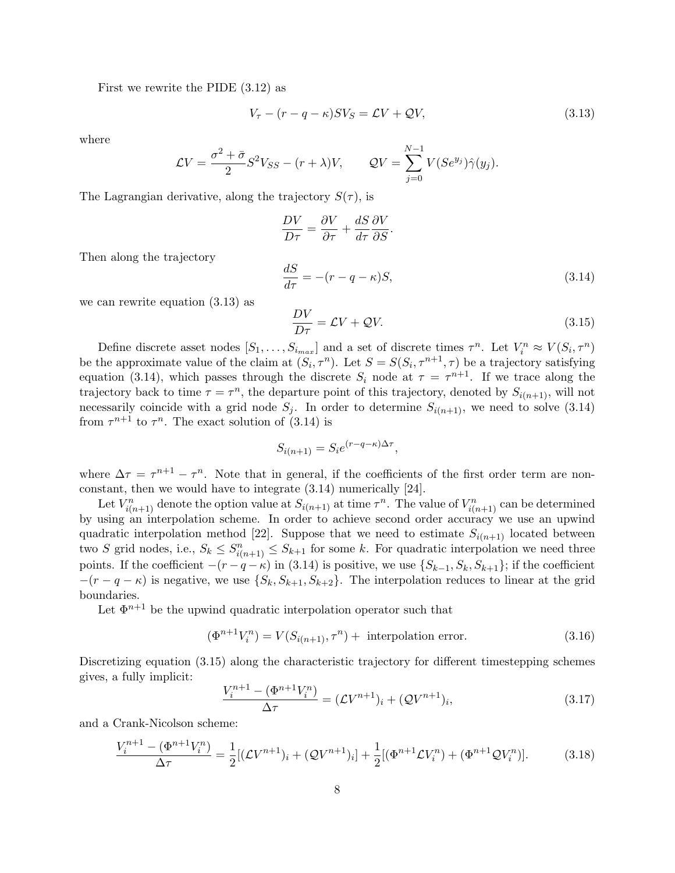First we rewrite the PIDE (3.12) as

$$
V_{\tau} - (r - q - \kappa)SV_S = \mathcal{L}V + \mathcal{Q}V,\tag{3.13}
$$

where

$$
\mathcal{L}V = \frac{\sigma^2 + \bar{\sigma}}{2} S^2 V_{SS} - (r + \lambda)V, \qquad \mathcal{Q}V = \sum_{j=0}^{N-1} V(Se^{y_j}) \hat{\gamma}(y_j).
$$

The Lagrangian derivative, along the trajectory  $S(\tau)$ , is

$$
\frac{DV}{D\tau} = \frac{\partial V}{\partial \tau} + \frac{dS}{d\tau} \frac{\partial V}{\partial S}.
$$

Then along the trajectory

$$
\frac{dS}{d\tau} = -(r - q - \kappa)S,\tag{3.14}
$$

we can rewrite equation (3.13) as

$$
\frac{DV}{D\tau} = \mathcal{L}V + \mathcal{Q}V.\tag{3.15}
$$

Define discrete asset nodes  $[S_1, \ldots, S_{i_{max}}]$  and a set of discrete times  $\tau^n$ . Let  $V_i^n \approx V(S_i, \tau^n)$ be the approximate value of the claim at  $(S_i, \tau^n)$ . Let  $S = S(S_i, \tau^{n+1}, \tau)$  be a trajectory satisfying equation (3.14), which passes through the discrete  $S_i$  node at  $\tau = \tau^{n+1}$ . If we trace along the trajectory back to time  $\tau = \tau^n$ , the departure point of this trajectory, denoted by  $S_{i(n+1)}$ , will not necessarily coincide with a grid node  $S_j$ . In order to determine  $S_{i(n+1)}$ , we need to solve (3.14) from  $\tau^{n+1}$  to  $\tau^n$ . The exact solution of (3.14) is

$$
S_{i(n+1)} = S_i e^{(r-q-\kappa)\Delta \tau},
$$

where  $\Delta \tau = \tau^{n+1} - \tau^n$ . Note that in general, if the coefficients of the first order term are nonconstant, then we would have to integrate (3.14) numerically [24].

Let  $V_{i(n+1)}^n$  denote the option value at  $S_{i(n+1)}$  at time  $\tau^n$ . The value of  $V_{i(n+1)}^n$  can be determined by using an interpolation scheme. In order to achieve second order accuracy we use an upwind quadratic interpolation method [22]. Suppose that we need to estimate  $S_{i(n+1)}$  located between two S grid nodes, i.e.,  $S_k \leq S_{i(n+1)}^n \leq S_{k+1}$  for some k. For quadratic interpolation we need three points. If the coefficient  $-(r - q - \kappa)$  in (3.14) is positive, we use  $\{S_{k-1}, S_k, S_{k+1}\}$ ; if the coefficient  $-(r - q - \kappa)$  is negative, we use  $\{S_k, S_{k+1}, S_{k+2}\}\$ . The interpolation reduces to linear at the grid boundaries.

Let  $\Phi^{n+1}$  be the upwind quadratic interpolation operator such that

$$
(\Phi^{n+1}V_i^n) = V(S_{i(n+1)}, \tau^n) + \text{ interpolation error.}
$$
\n(3.16)

Discretizing equation (3.15) along the characteristic trajectory for different timestepping schemes gives, a fully implicit:

$$
\frac{V_i^{n+1} - (\Phi^{n+1} V_i^n)}{\Delta \tau} = (\mathcal{L} V^{n+1})_i + (\mathcal{Q} V^{n+1})_i,\tag{3.17}
$$

and a Crank-Nicolson scheme:

$$
\frac{V_i^{n+1} - (\Phi^{n+1} V_i^n)}{\Delta \tau} = \frac{1}{2} [(\mathcal{L} V^{n+1})_i + (\mathcal{Q} V^{n+1})_i] + \frac{1}{2} [(\Phi^{n+1} \mathcal{L} V_i^n) + (\Phi^{n+1} \mathcal{Q} V_i^n)].
$$
(3.18)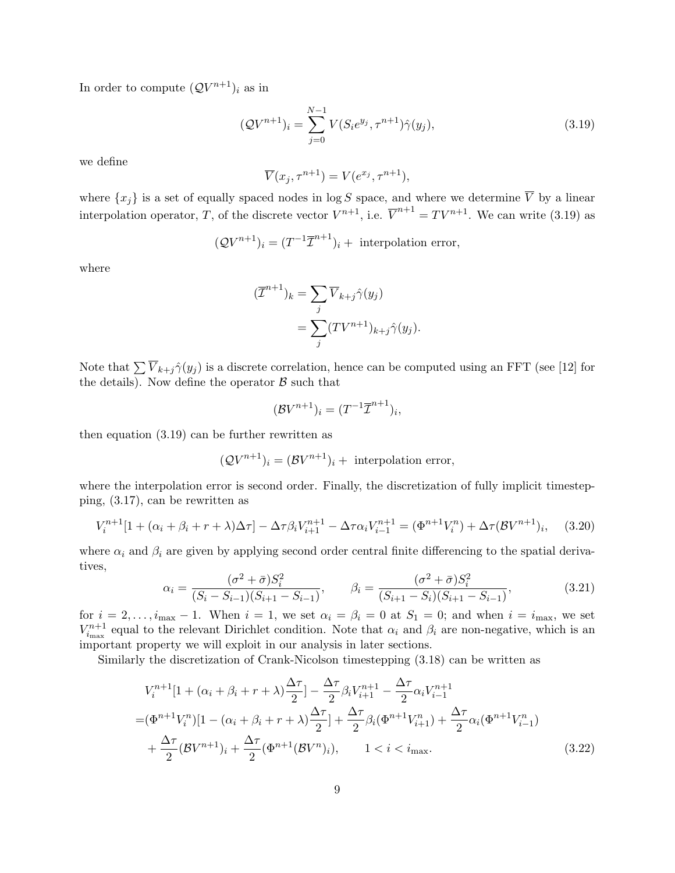In order to compute  $(\mathcal{Q}V^{n+1})_i$  as in

$$
(\mathcal{Q}V^{n+1})_i = \sum_{j=0}^{N-1} V(S_i e^{y_j}, \tau^{n+1}) \hat{\gamma}(y_j), \qquad (3.19)
$$

we define

$$
\overline{V}(x_j, \tau^{n+1}) = V(e^{x_j}, \tau^{n+1}),
$$

where  $\{x_j\}$  is a set of equally spaced nodes in log S space, and where we determine  $\overline{V}$  by a linear interpolation operator, T, of the discrete vector  $V^{n+1}$ , i.e.  $\overline{V}^{n+1} = TV^{n+1}$ . We can write (3.19) as

$$
(\mathcal{Q}V^{n+1})_i = (T^{-1}\overline{\mathcal{I}}^{n+1})_i + \text{ interpolation error},
$$

where

$$
(\overline{\mathcal{I}}^{n+1})_k = \sum_j \overline{V}_{k+j} \hat{\gamma}(y_j)
$$
  
= 
$$
\sum_j (TV^{n+1})_{k+j} \hat{\gamma}(y_j).
$$

Note that  $\sum \overline{V}_{k+j}\hat{\gamma}(y_i)$  is a discrete correlation, hence can be computed using an FFT (see [12] for the details). Now define the operator  $\beta$  such that

$$
(\mathcal{B}V^{n+1})_i = (T^{-1}\overline{\mathcal{I}}^{n+1})_i,
$$

then equation (3.19) can be further rewritten as

$$
(\mathcal{Q}V^{n+1})_i = (\mathcal{B}V^{n+1})_i + \text{ interpolation error},
$$

where the interpolation error is second order. Finally, the discretization of fully implicit timestepping, (3.17), can be rewritten as

$$
V_i^{n+1}[1 + (\alpha_i + \beta_i + r + \lambda)\Delta\tau] - \Delta\tau \beta_i V_{i+1}^{n+1} - \Delta\tau \alpha_i V_{i-1}^{n+1} = (\Phi^{n+1} V_i^n) + \Delta\tau (\mathcal{B} V^{n+1})_i, \quad (3.20)
$$

where  $\alpha_i$  and  $\beta_i$  are given by applying second order central finite differencing to the spatial derivatives,

$$
\alpha_i = \frac{(\sigma^2 + \bar{\sigma})S_i^2}{(S_i - S_{i-1})(S_{i+1} - S_{i-1})}, \qquad \beta_i = \frac{(\sigma^2 + \bar{\sigma})S_i^2}{(S_{i+1} - S_i)(S_{i+1} - S_{i-1})},
$$
(3.21)

for  $i = 2, \ldots, i_{\text{max}} - 1$ . When  $i = 1$ , we set  $\alpha_i = \beta_i = 0$  at  $S_1 = 0$ ; and when  $i = i_{\text{max}}$ , we set  $V_{i_{\text{max}}}^{n+1}$  equal to the relevant Dirichlet condition. Note that  $\alpha_i$  and  $\beta_i$  are non-negative, which is an important property we will exploit in our analysis in later sections.

Similarly the discretization of Crank-Nicolson timestepping (3.18) can be written as

$$
V_{i}^{n+1}[1 + (\alpha_{i} + \beta_{i} + r + \lambda)\frac{\Delta\tau}{2}] - \frac{\Delta\tau}{2}\beta_{i}V_{i+1}^{n+1} - \frac{\Delta\tau}{2}\alpha_{i}V_{i-1}^{n+1}
$$
  
=  $(\Phi^{n+1}V_{i}^{n})[1 - (\alpha_{i} + \beta_{i} + r + \lambda)\frac{\Delta\tau}{2}] + \frac{\Delta\tau}{2}\beta_{i}(\Phi^{n+1}V_{i+1}^{n}) + \frac{\Delta\tau}{2}\alpha_{i}(\Phi^{n+1}V_{i-1}^{n})$   
+  $\frac{\Delta\tau}{2}(\mathcal{B}V^{n+1})_{i} + \frac{\Delta\tau}{2}(\Phi^{n+1}(\mathcal{B}V^{n})_{i}), \qquad 1 < i < i_{\text{max}}.$  (3.22)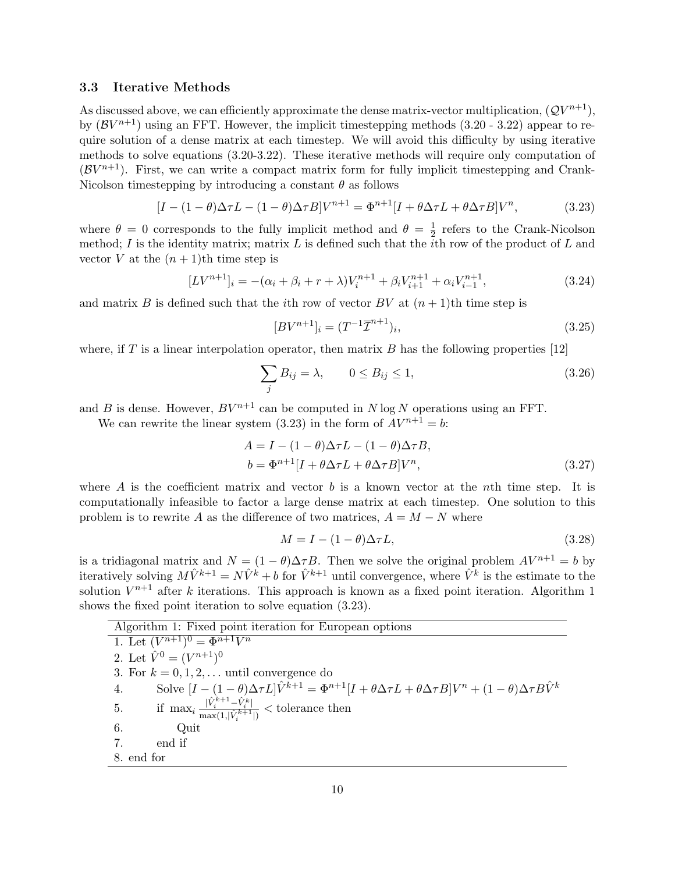#### 3.3 Iterative Methods

As discussed above, we can efficiently approximate the dense matrix-vector multiplication,  $(QV^{n+1})$ , by  $(\mathcal{B}V^{n+1})$  using an FFT. However, the implicit timestepping methods  $(3.20 - 3.22)$  appear to require solution of a dense matrix at each timestep. We will avoid this difficulty by using iterative methods to solve equations (3.20-3.22). These iterative methods will require only computation of  $(\mathcal{B}V^{n+1})$ . First, we can write a compact matrix form for fully implicit timestepping and Crank-Nicolson timestepping by introducing a constant  $\theta$  as follows

$$
[I - (1 - \theta)\Delta \tau L - (1 - \theta)\Delta \tau B]V^{n+1} = \Phi^{n+1}[I + \theta \Delta \tau L + \theta \Delta \tau B]V^n, \tag{3.23}
$$

where  $\theta = 0$  corresponds to the fully implicit method and  $\theta = \frac{1}{2}$  $\frac{1}{2}$  refers to the Crank-Nicolson method; I is the identity matrix; matrix L is defined such that the *i*th row of the product of L and vector V at the  $(n+1)$ th time step is

$$
[LV^{n+1}]_i = -(\alpha_i + \beta_i + r + \lambda)V_i^{n+1} + \beta_i V_{i+1}^{n+1} + \alpha_i V_{i-1}^{n+1},
$$
\n(3.24)

and matrix B is defined such that the *i*th row of vector BV at  $(n + 1)$ th time step is

$$
[BV^{n+1}]_i = (T^{-1}\overline{\mathcal{I}}^{n+1})_i,\tag{3.25}
$$

where, if T is a linear interpolation operator, then matrix B has the following properties  $[12]$ 

$$
\sum_{j} B_{ij} = \lambda, \qquad 0 \le B_{ij} \le 1,
$$
\n(3.26)

and B is dense. However,  $BV^{n+1}$  can be computed in N log N operations using an FFT.

We can rewrite the linear system (3.23) in the form of  $AV^{n+1} = b$ :

$$
A = I - (1 - \theta)\Delta\tau L - (1 - \theta)\Delta\tau B,
$$
  
\n
$$
b = \Phi^{n+1}[I + \theta\Delta\tau L + \theta\Delta\tau B]V^n,
$$
\n(3.27)

where A is the coefficient matrix and vector b is a known vector at the nth time step. It is computationally infeasible to factor a large dense matrix at each timestep. One solution to this problem is to rewrite A as the difference of two matrices,  $A = M - N$  where

$$
M = I - (1 - \theta)\Delta \tau L, \tag{3.28}
$$

is a tridiagonal matrix and  $N = (1 - \theta) \Delta \tau B$ . Then we solve the original problem  $AV^{n+1} = b$  by iteratively solving  $M\hat{V}^{k+1} = N\hat{V}^k + b$  for  $\hat{V}^{k+1}$  until convergence, where  $\hat{V}^k$  is the estimate to the solution  $V^{n+1}$  after k iterations. This approach is known as a fixed point iteration. Algorithm 1 shows the fixed point iteration to solve equation (3.23).

| Algorithm 1: Fixed point iteration for European options                                                                                                          |
|------------------------------------------------------------------------------------------------------------------------------------------------------------------|
| 1. Let $(V^{n+1})^0 = \Phi^{n+1}V^n$                                                                                                                             |
| 2. Let $\hat{V}^0 = (V^{n+1})^0$                                                                                                                                 |
| 3. For $k = 0, 1, 2, \ldots$ until convergence do                                                                                                                |
| Solve $[I - (1 - \theta)\Delta \tau L]\hat{V}^{k+1} = \Phi^{n+1}[I + \theta \Delta \tau L + \theta \Delta \tau B]V^n + (1 - \theta)\Delta \tau B\hat{V}^k$<br>4. |
| if $\max_i \frac{ \hat{V}_i^{k+1} - \hat{V}_i^k }{\max(1,  \hat{V}_i^{k+1} )} <$ tolerance then<br>5.                                                            |
| 6.<br>Quit                                                                                                                                                       |
| end if                                                                                                                                                           |
| 8. end for                                                                                                                                                       |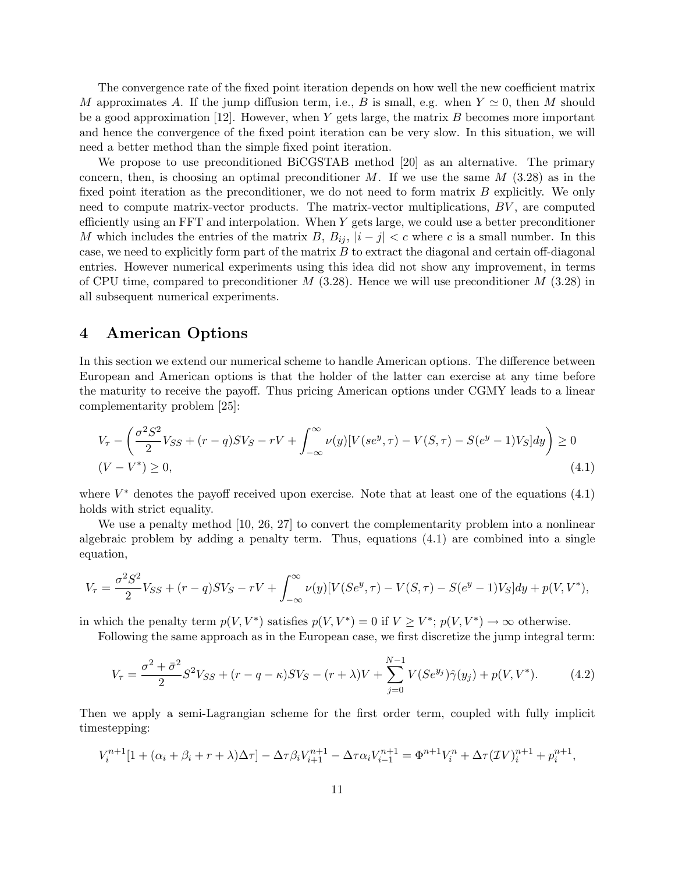The convergence rate of the fixed point iteration depends on how well the new coefficient matrix M approximates A. If the jump diffusion term, i.e., B is small, e.g. when  $Y \simeq 0$ , then M should be a good approximation [12]. However, when Y gets large, the matrix B becomes more important and hence the convergence of the fixed point iteration can be very slow. In this situation, we will need a better method than the simple fixed point iteration.

We propose to use preconditioned BiCGSTAB method [20] as an alternative. The primary concern, then, is choosing an optimal preconditioner M. If we use the same  $M$  (3.28) as in the fixed point iteration as the preconditioner, we do not need to form matrix B explicitly. We only need to compute matrix-vector products. The matrix-vector multiplications, BV , are computed efficiently using an FFT and interpolation. When Y gets large, we could use a better preconditioner M which includes the entries of the matrix B,  $B_{ij}$ ,  $|i-j| < c$  where c is a small number. In this case, we need to explicitly form part of the matrix  $B$  to extract the diagonal and certain off-diagonal entries. However numerical experiments using this idea did not show any improvement, in terms of CPU time, compared to preconditioner  $M$  (3.28). Hence we will use preconditioner  $M$  (3.28) in all subsequent numerical experiments.

### 4 American Options

In this section we extend our numerical scheme to handle American options. The difference between European and American options is that the holder of the latter can exercise at any time before the maturity to receive the payoff. Thus pricing American options under CGMY leads to a linear complementarity problem [25]:

$$
V_{\tau} - \left(\frac{\sigma^2 S^2}{2} V_{SS} + (r - q) S V_S - r V + \int_{-\infty}^{\infty} \nu(y) [V(se^y, \tau) - V(S, \tau) - S(e^y - 1) V_S] dy\right) \ge 0
$$
  
(V - V<sup>\*</sup>)  $\ge 0$ , (4.1)

where  $V^*$  denotes the payoff received upon exercise. Note that at least one of the equations  $(4.1)$ holds with strict equality.

We use a penalty method [10, 26, 27] to convert the complementarity problem into a nonlinear algebraic problem by adding a penalty term. Thus, equations (4.1) are combined into a single equation,

$$
V_{\tau} = \frac{\sigma^2 S^2}{2} V_{SS} + (r - q)SV_S - rV + \int_{-\infty}^{\infty} \nu(y) [V(Se^y, \tau) - V(S, \tau) - S(e^y - 1)V_S] dy + p(V, V^*),
$$

in which the penalty term  $p(V, V^*)$  satisfies  $p(V, V^*) = 0$  if  $V \geq V^*$ ;  $p(V, V^*) \to \infty$  otherwise.

Following the same approach as in the European case, we first discretize the jump integral term:

$$
V_{\tau} = \frac{\sigma^2 + \bar{\sigma}^2}{2} S^2 V_{SS} + (r - q - \kappa) S V_S - (r + \lambda) V + \sum_{j=0}^{N-1} V(S e^{y_j}) \hat{\gamma}(y_j) + p(V, V^*). \tag{4.2}
$$

Then we apply a semi-Lagrangian scheme for the first order term, coupled with fully implicit timestepping:

$$
V_i^{n+1}[1 + (\alpha_i + \beta_i + r + \lambda)\Delta \tau] - \Delta \tau \beta_i V_{i+1}^{n+1} - \Delta \tau \alpha_i V_{i-1}^{n+1} = \Phi^{n+1} V_i^n + \Delta \tau (TV)_i^{n+1} + p_i^{n+1},
$$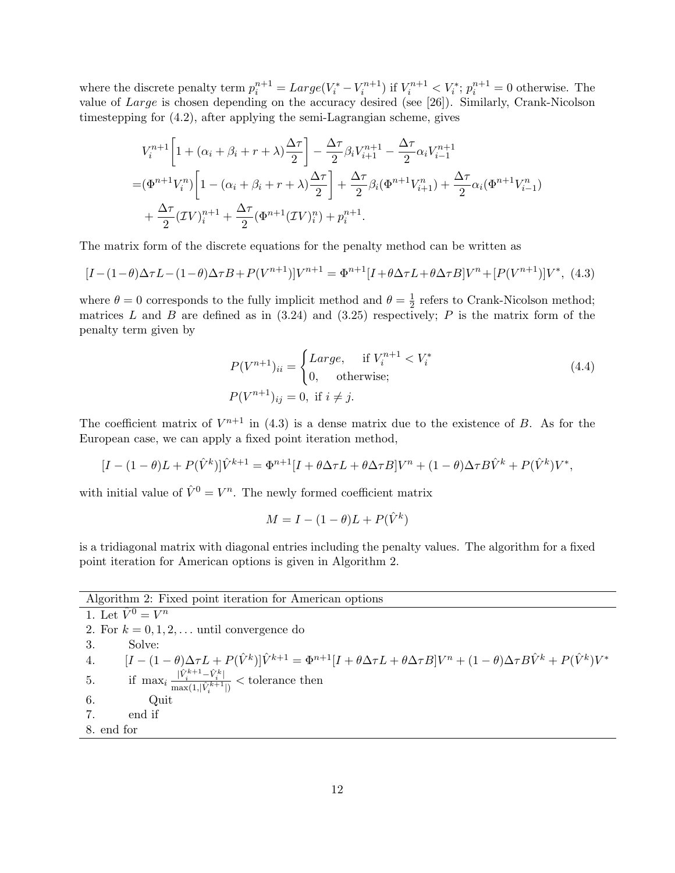where the discrete penalty term  $p_i^{n+1} = Large(V_i^* - V_i^{n+1})$  if  $V_i^{n+1} < V_i^*$ ;  $p_i^{n+1} = 0$  otherwise. The value of Large is chosen depending on the accuracy desired (see [26]). Similarly, Crank-Nicolson timestepping for (4.2), after applying the semi-Lagrangian scheme, gives

$$
V_i^{n+1} \left[ 1 + (\alpha_i + \beta_i + r + \lambda) \frac{\Delta \tau}{2} \right] - \frac{\Delta \tau}{2} \beta_i V_{i+1}^{n+1} - \frac{\Delta \tau}{2} \alpha_i V_{i-1}^{n+1}
$$
  
=  $(\Phi^{n+1} V_i^n) \left[ 1 - (\alpha_i + \beta_i + r + \lambda) \frac{\Delta \tau}{2} \right] + \frac{\Delta \tau}{2} \beta_i (\Phi^{n+1} V_{i+1}^n) + \frac{\Delta \tau}{2} \alpha_i (\Phi^{n+1} V_{i-1}^n)$   
+  $\frac{\Delta \tau}{2} (\mathcal{I} V)_i^{n+1} + \frac{\Delta \tau}{2} (\Phi^{n+1} (\mathcal{I} V)_i^n) + p_i^{n+1}.$ 

The matrix form of the discrete equations for the penalty method can be written as

$$
[I - (1 - \theta)\Delta \tau L - (1 - \theta)\Delta \tau B + P(V^{n+1})]V^{n+1} = \Phi^{n+1}[I + \theta \Delta \tau L + \theta \Delta \tau B]V^n + [P(V^{n+1})]V^*,
$$
(4.3)

where  $\theta = 0$  corresponds to the fully implicit method and  $\theta = \frac{1}{2}$  $\frac{1}{2}$  refers to Crank-Nicolson method; matrices  $L$  and  $B$  are defined as in (3.24) and (3.25) respectively;  $P$  is the matrix form of the penalty term given by

$$
P(V^{n+1})_{ii} = \begin{cases} Large, & \text{if } V_i^{n+1} < V_i^* \\ 0, & \text{otherwise}; \end{cases} \tag{4.4}
$$
\n
$$
P(V^{n+1})_{ij} = 0, \text{ if } i \neq j.
$$

The coefficient matrix of  $V^{n+1}$  in (4.3) is a dense matrix due to the existence of B. As for the European case, we can apply a fixed point iteration method,

$$
[I - (1 - \theta)L + P(\hat{V}^k)]\hat{V}^{k+1} = \Phi^{n+1}[I + \theta \Delta \tau L + \theta \Delta \tau B]V^n + (1 - \theta)\Delta \tau B\hat{V}^k + P(\hat{V}^k)V^*,
$$

with initial value of  $\hat{V}^0 = V^n$ . The newly formed coefficient matrix

$$
M = I - (1 - \theta)L + P(\hat{V}^k)
$$

is a tridiagonal matrix with diagonal entries including the penalty values. The algorithm for a fixed point iteration for American options is given in Algorithm 2.

| Algorithm 2: Fixed point iteration for American options |
|---------------------------------------------------------|
| 1. Let $\hat{V}^0 = V^n$                                |

2. For  $k = 0, 1, 2, \ldots$  until convergence do 3. Solve: 4.  $[I - (1 - \theta)\Delta \tau L + P(\hat{V}^k)]\hat{V}^{k+1} = \Phi^{n+1}[I + \theta \Delta \tau L + \theta \Delta \tau B]V^n + (1 - \theta)\Delta \tau B\hat{V}^k + P(\hat{V}^k)V^*$ 5. if  $\max_i \frac{|\hat{V}_i^{k+1} - \hat{V}_i^k|}{\max(1,|\hat{V}_i^{k+1}|)} <$  tolerance then 6. Quit 7. end if 8. end for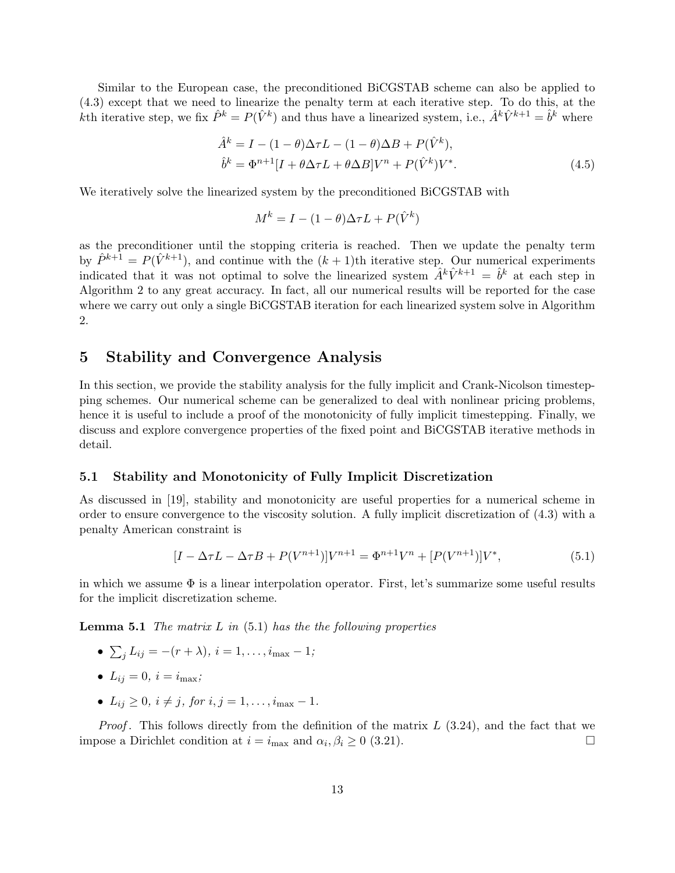Similar to the European case, the preconditioned BiCGSTAB scheme can also be applied to (4.3) except that we need to linearize the penalty term at each iterative step. To do this, at the kth iterative step, we fix  $\hat{P}^k = P(\hat{V}^k)$  and thus have a linearized system, i.e.,  $\hat{A}^k \hat{V}^{k+1} = \hat{b}^k$  where

$$
\hat{A}^k = I - (1 - \theta)\Delta\tau L - (1 - \theta)\Delta B + P(\hat{V}^k),
$$
  
\n
$$
\hat{b}^k = \Phi^{n+1}[I + \theta\Delta\tau L + \theta\Delta B]V^n + P(\hat{V}^k)V^*.
$$
\n(4.5)

We iteratively solve the linearized system by the preconditioned BiCGSTAB with

$$
M^k = I - (1 - \theta)\Delta \tau L + P(\hat{V}^k)
$$

as the preconditioner until the stopping criteria is reached. Then we update the penalty term by  $\hat{P}^{k+1} = P(\hat{V}^{k+1})$ , and continue with the  $(k+1)$ th iterative step. Our numerical experiments indicated that it was not optimal to solve the linearized system  $\hat{A}^k \hat{V}^{k+1} = \hat{b}^k$  at each step in Algorithm 2 to any great accuracy. In fact, all our numerical results will be reported for the case where we carry out only a single BiCGSTAB iteration for each linearized system solve in Algorithm 2.

### 5 Stability and Convergence Analysis

In this section, we provide the stability analysis for the fully implicit and Crank-Nicolson timestepping schemes. Our numerical scheme can be generalized to deal with nonlinear pricing problems, hence it is useful to include a proof of the monotonicity of fully implicit timestepping. Finally, we discuss and explore convergence properties of the fixed point and BiCGSTAB iterative methods in detail.

#### 5.1 Stability and Monotonicity of Fully Implicit Discretization

As discussed in [19], stability and monotonicity are useful properties for a numerical scheme in order to ensure convergence to the viscosity solution. A fully implicit discretization of (4.3) with a penalty American constraint is

$$
[I - \Delta \tau L - \Delta \tau B + P(V^{n+1})]V^{n+1} = \Phi^{n+1}V^n + [P(V^{n+1})]V^*,\tag{5.1}
$$

in which we assume  $\Phi$  is a linear interpolation operator. First, let's summarize some useful results for the implicit discretization scheme.

**Lemma 5.1** The matrix  $L$  in (5.1) has the the following properties

- $\bullet \ \sum_j L_{ij} = -(r + \lambda), \ i = 1, \ldots, i_{\max} 1;$
- $L_{ij} = 0, i = i_{\text{max}};$
- $L_{ij} \geq 0, i \neq j$ , for  $i, j = 1, ..., i_{\text{max}} 1$ .

*Proof.* This follows directly from the definition of the matrix  $L(3.24)$ , and the fact that we impose a Dirichlet condition at  $i = i_{\text{max}}$  and  $\alpha_i, \beta_i \geq 0$  (3.21).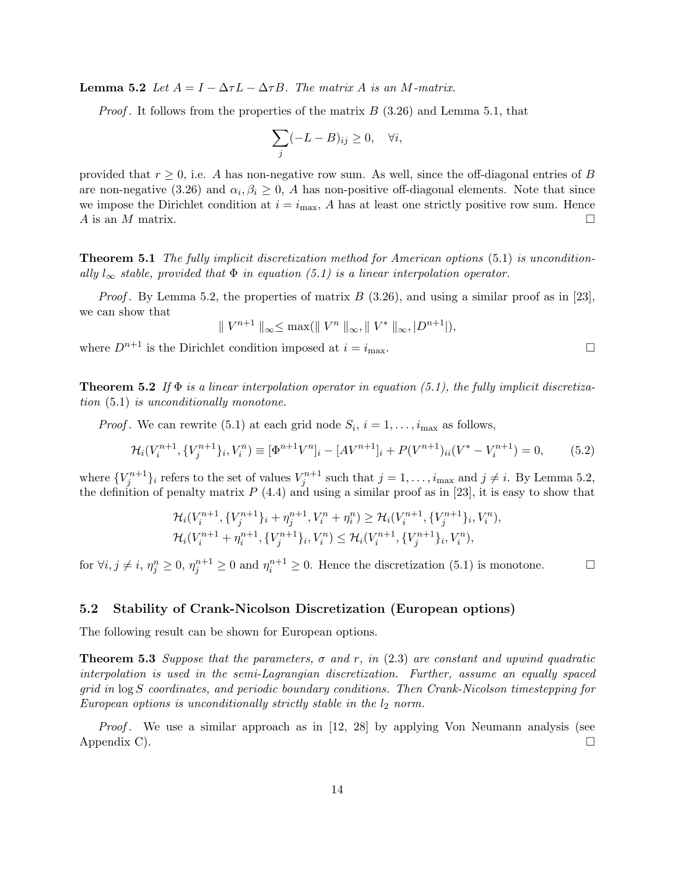**Lemma 5.2** Let  $A = I - \Delta \tau L - \Delta \tau B$ . The matrix A is an M-matrix.

*Proof.* It follows from the properties of the matrix  $B(3.26)$  and Lemma 5.1, that

$$
\sum_{j} (-L - B)_{ij} \ge 0, \quad \forall i,
$$

provided that  $r \geq 0$ , i.e. A has non-negative row sum. As well, since the off-diagonal entries of B are non-negative (3.26) and  $\alpha_i, \beta_i \geq 0$ , A has non-positive off-diagonal elements. Note that since we impose the Dirichlet condition at  $i = i_{\text{max}}$ , A has at least one strictly positive row sum. Hence A is an M matrix.  $\square$ 

Theorem 5.1 The fully implicit discretization method for American options (5.1) is unconditionally  $l_{\infty}$  stable, provided that  $\Phi$  in equation (5.1) is a linear interpolation operator.

*Proof.* By Lemma 5.2, the properties of matrix  $B(3.26)$ , and using a similar proof as in [23], we can show that

 $\parallel V^{n+1} \parallel_{\infty} \leq \max(\parallel V^n \parallel_{\infty}, \parallel V^* \parallel_{\infty}, |D^{n+1}|),$ 

where  $D^{n+1}$  is the Dirichlet condition imposed at  $i = i_{\text{max}}$ .

**Theorem 5.2** If  $\Phi$  is a linear interpolation operator in equation (5.1), the fully implicit discretization (5.1) is unconditionally monotone.

*Proof*. We can rewrite (5.1) at each grid node  $S_i$ ,  $i = 1, \ldots, i_{\text{max}}$  as follows,

$$
\mathcal{H}_i(V_i^{n+1}, \{V_j^{n+1}\}_i, V_i^n) \equiv [\Phi^{n+1}V^n]_i - [AV^{n+1}]_i + P(V^{n+1})_{ii}(V^* - V_i^{n+1}) = 0,\tag{5.2}
$$

where  $\{V_j^{n+1}\}_i$  refers to the set of values  $V_j^{n+1}$  such that  $j = 1, \ldots, i_{\text{max}}$  and  $j \neq i$ . By Lemma 5.2, the definition of penalty matrix  $P(4.4)$  and using a similar proof as in [23], it is easy to show that

$$
\mathcal{H}_i(V_i^{n+1}, \{V_j^{n+1}\}_i + \eta_j^{n+1}, V_i^n + \eta_i^n) \geq \mathcal{H}_i(V_i^{n+1}, \{V_j^{n+1}\}_i, V_i^n),
$$
  

$$
\mathcal{H}_i(V_i^{n+1} + \eta_i^{n+1}, \{V_j^{n+1}\}_i, V_i^n) \leq \mathcal{H}_i(V_i^{n+1}, \{V_j^{n+1}\}_i, V_i^n),
$$

for  $\forall i, j \neq i, \eta_j^n \geq 0, \eta_j^{n+1} \geq 0$  and  $\eta_i^{n+1} \geq 0$ . Hence the discretization (5.1) is monotone.

#### 5.2 Stability of Crank-Nicolson Discretization (European options)

The following result can be shown for European options.

**Theorem 5.3** Suppose that the parameters,  $\sigma$  and r, in (2.3) are constant and upwind quadratic interpolation is used in the semi-Lagrangian discretization. Further, assume an equally spaced grid in log S coordinates, and periodic boundary conditions. Then Crank-Nicolson timestepping for European options is unconditionally strictly stable in the  $l_2$  norm.

*Proof.* We use a similar approach as in  $[12, 28]$  by applying Von Neumann analysis (see Appendix C).  $\Box$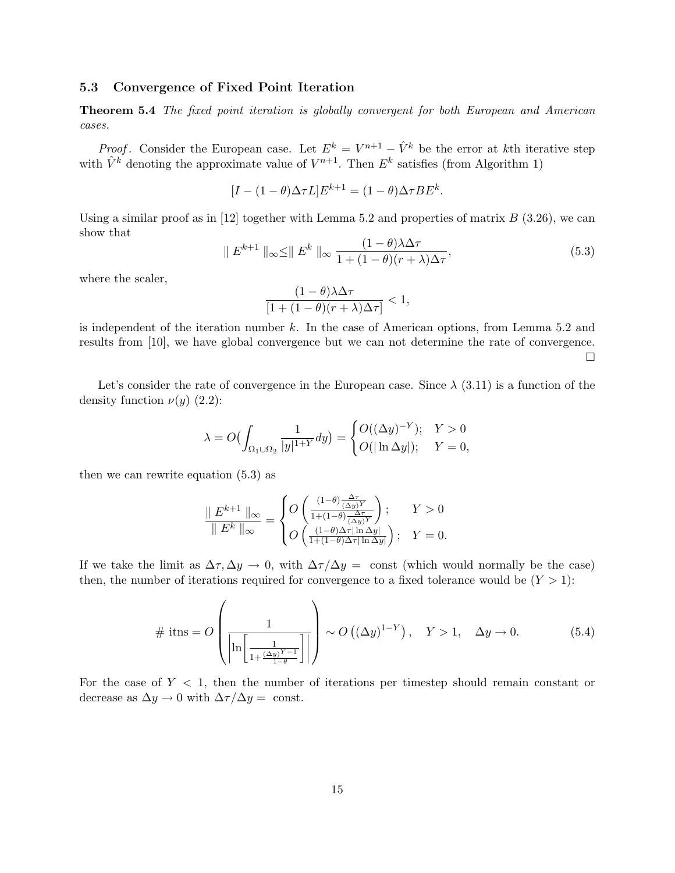#### 5.3 Convergence of Fixed Point Iteration

Theorem 5.4 The fixed point iteration is globally convergent for both European and American cases.

*Proof.* Consider the European case. Let  $E^k = V^{n+1} - \hat{V}^k$  be the error at kth iterative step with  $\hat{V}^k$  denoting the approximate value of  $V^{n+1}$ . Then  $E^k$  satisfies (from Algorithm 1)

$$
[I - (1 - \theta)\Delta \tau L]E^{k+1} = (1 - \theta)\Delta \tau BE^{k}.
$$

Using a similar proof as in [12] together with Lemma 5.2 and properties of matrix  $B$  (3.26), we can show that

$$
\| E^{k+1} \|_{\infty} \leq \| E^k \|_{\infty} \frac{(1-\theta)\lambda\Delta\tau}{1 + (1-\theta)(r+\lambda)\Delta\tau},
$$
\n(5.3)

where the scaler,

$$
\frac{(1-\theta)\lambda\Delta\tau}{[1+(1-\theta)(r+\lambda)\Delta\tau]} < 1,
$$

is independent of the iteration number  $k$ . In the case of American options, from Lemma 5.2 and results from [10], we have global convergence but we can not determine the rate of convergence.  $\Box$ 

Let's consider the rate of convergence in the European case. Since  $\lambda$  (3.11) is a function of the density function  $\nu(y)$  (2.2):

$$
\lambda = O\bigl(\int_{\Omega_1 \cup \Omega_2} \frac{1}{|y|^{1+Y}} dy\bigr) = \begin{cases} O((\Delta y)^{-Y}); & Y > 0 \\ O(|\ln \Delta y|); & Y = 0, \end{cases}
$$

then we can rewrite equation (5.3) as

$$
\frac{\parallel E^{k+1}\parallel_{\infty}}{\parallel E^{k}\parallel_{\infty}}=\begin{cases} O\left(\frac{(1-\theta)\frac{\Delta\tau}{(\Delta y)^Y}}{1+(1-\theta)\frac{\Delta\tau}{(\Delta y)^Y}}\right); & Y>0 \\ O\left(\frac{(1-\theta)\Delta\tau|\ln\Delta y|}{1+(1-\theta)\Delta\tau|\ln\Delta y|}\right); & Y=0. \end{cases}
$$

If we take the limit as  $\Delta \tau$ ,  $\Delta y \to 0$ , with  $\Delta \tau / \Delta y = \text{const}$  (which would normally be the case) then, the number of iterations required for convergence to a fixed tolerance would be  $(Y > 1)$ :

$$
\#\text{ itns} = O\left(\frac{1}{\left|\ln\left[\frac{1}{1 + \frac{(\Delta y)^{Y-1}}{1-\theta}}\right]\right|}\right) \sim O\left((\Delta y)^{1-Y}\right), \quad Y > 1, \quad \Delta y \to 0. \tag{5.4}
$$

For the case of  $Y < 1$ , then the number of iterations per timestep should remain constant or decrease as  $\Delta y \to 0$  with  $\Delta \tau / \Delta y = \text{const.}$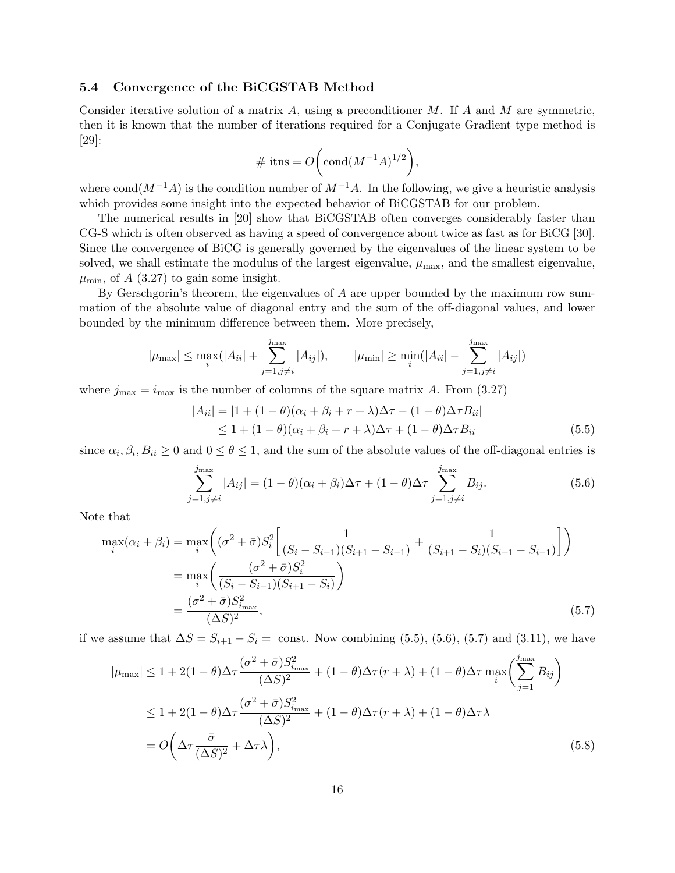#### 5.4 Convergence of the BiCGSTAB Method

Consider iterative solution of a matrix A, using a preconditioner M. If A and M are symmetric, then it is known that the number of iterations required for a Conjugate Gradient type method is [29]:

$$
\#\text{ itns} = O\bigg(\text{cond}(M^{-1}A)^{1/2}\bigg),\,
$$

where cond( $M^{-1}A$ ) is the condition number of  $M^{-1}A$ . In the following, we give a heuristic analysis which provides some insight into the expected behavior of BiCGSTAB for our problem.

The numerical results in [20] show that BiCGSTAB often converges considerably faster than CG-S which is often observed as having a speed of convergence about twice as fast as for BiCG [30]. Since the convergence of BiCG is generally governed by the eigenvalues of the linear system to be solved, we shall estimate the modulus of the largest eigenvalue,  $\mu_{\text{max}}$ , and the smallest eigenvalue,  $\mu_{\min}$ , of A (3.27) to gain some insight.

By Gerschgorin's theorem, the eigenvalues of A are upper bounded by the maximum row summation of the absolute value of diagonal entry and the sum of the off-diagonal values, and lower bounded by the minimum difference between them. More precisely,

$$
|\mu_{\max}| \leq \max_{i}(|A_{ii}| + \sum_{j=1, j \neq i}^{j_{\max}} |A_{ij}|), \qquad |\mu_{\min}| \geq \min_{i}(|A_{ii}| - \sum_{j=1, j \neq i}^{j_{\max}} |A_{ij}|)
$$

where  $j_{\text{max}} = i_{\text{max}}$  is the number of columns of the square matrix A. From (3.27)

$$
|A_{ii}| = |1 + (1 - \theta)(\alpha_i + \beta_i + r + \lambda)\Delta\tau - (1 - \theta)\Delta\tau B_{ii}|
$$
  
\n
$$
\leq 1 + (1 - \theta)(\alpha_i + \beta_i + r + \lambda)\Delta\tau + (1 - \theta)\Delta\tau B_{ii}
$$
\n(5.5)

since  $\alpha_i, \beta_i, B_{ii} \ge 0$  and  $0 \le \theta \le 1$ , and the sum of the absolute values of the off-diagonal entries is

$$
\sum_{j=1,j\neq i}^{j_{\text{max}}} |A_{ij}| = (1-\theta)(\alpha_i + \beta_i)\Delta\tau + (1-\theta)\Delta\tau \sum_{j=1,j\neq i}^{j_{\text{max}}} B_{ij}.
$$
 (5.6)

Note that

$$
\max_{i}(\alpha_{i} + \beta_{i}) = \max_{i} \left( (\sigma^{2} + \bar{\sigma})S_{i}^{2} \left[ \frac{1}{(S_{i} - S_{i-1})(S_{i+1} - S_{i-1})} + \frac{1}{(S_{i+1} - S_{i})(S_{i+1} - S_{i-1})} \right] \right)
$$
  
\n
$$
= \max_{i} \left( \frac{(\sigma^{2} + \bar{\sigma})S_{i}^{2}}{(S_{i} - S_{i-1})(S_{i+1} - S_{i})} \right)
$$
  
\n
$$
= \frac{(\sigma^{2} + \bar{\sigma})S_{i_{\max}}^{2}}{(\Delta S)^{2}}, \qquad (5.7)
$$

if we assume that  $\Delta S = S_{i+1} - S_i = \text{const.}$  Now combining (5.5), (5.6), (5.7) and (3.11), we have

$$
|\mu_{\max}| \le 1 + 2(1 - \theta)\Delta\tau \frac{(\sigma^2 + \bar{\sigma})S_{i_{\max}}^2}{(\Delta S)^2} + (1 - \theta)\Delta\tau(r + \lambda) + (1 - \theta)\Delta\tau \max_{i} \left(\sum_{j=1}^{j_{\max}} B_{ij}\right)
$$
  

$$
\le 1 + 2(1 - \theta)\Delta\tau \frac{(\sigma^2 + \bar{\sigma})S_{i_{\max}}^2}{(\Delta S)^2} + (1 - \theta)\Delta\tau(r + \lambda) + (1 - \theta)\Delta\tau\lambda
$$
  

$$
= O\left(\Delta\tau \frac{\bar{\sigma}}{(\Delta S)^2} + \Delta\tau\lambda\right),
$$
 (5.8)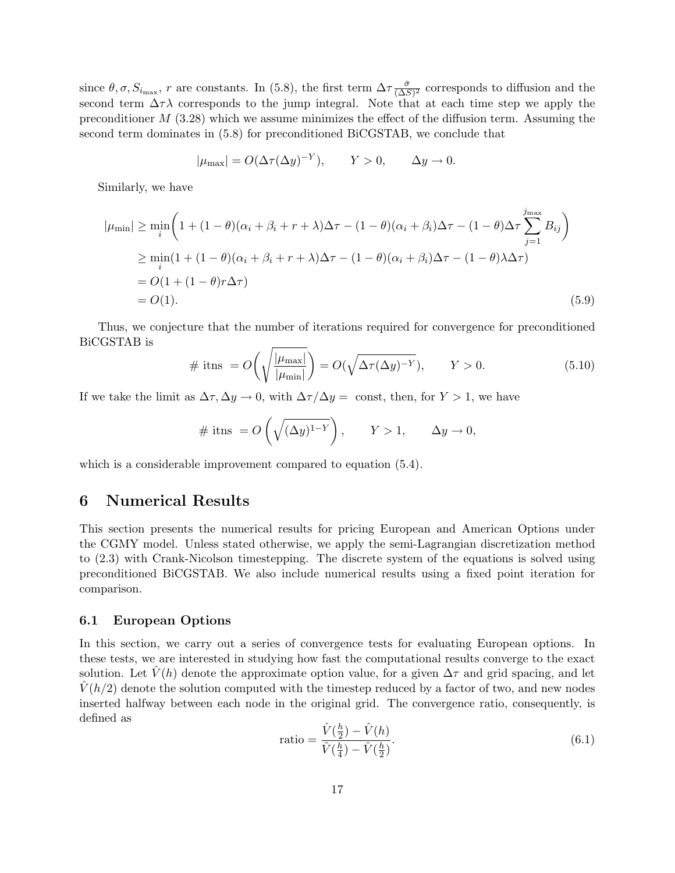since  $\theta$ ,  $\sigma$ ,  $S_{i_{\text{max}}}$ , r are constants. In (5.8), the first term  $\Delta\tau \frac{\bar{\sigma}}{(\Delta S)}$  $\frac{\sigma}{(\Delta S)^2}$  corresponds to diffusion and the second term  $\Delta \tau \lambda$  corresponds to the jump integral. Note that at each time step we apply the preconditioner  $M$  (3.28) which we assume minimizes the effect of the diffusion term. Assuming the second term dominates in (5.8) for preconditioned BiCGSTAB, we conclude that

$$
|\mu_{\max}| = O(\Delta \tau (\Delta y)^{-Y}), \qquad Y > 0, \qquad \Delta y \to 0.
$$

Similarly, we have

$$
|\mu_{\min}| \geq \min_{i} \left( 1 + (1 - \theta)(\alpha_i + \beta_i + r + \lambda)\Delta\tau - (1 - \theta)(\alpha_i + \beta_i)\Delta\tau - (1 - \theta)\Delta\tau \sum_{j=1}^{j_{\max}} B_{ij} \right)
$$
  
\n
$$
\geq \min_{i} (1 + (1 - \theta)(\alpha_i + \beta_i + r + \lambda)\Delta\tau - (1 - \theta)(\alpha_i + \beta_i)\Delta\tau - (1 - \theta)\lambda\Delta\tau)
$$
  
\n
$$
= O(1 + (1 - \theta)r\Delta\tau)
$$
  
\n
$$
= O(1). \tag{5.9}
$$

Thus, we conjecture that the number of iterations required for convergence for preconditioned BiCGSTAB is

$$
\#\text{ itns } = O\left(\sqrt{\frac{|\mu_{\text{max}}|}{|\mu_{\text{min}}|}}\right) = O(\sqrt{\Delta \tau(\Delta y)^{-Y}}), \qquad Y > 0. \tag{5.10}
$$

If we take the limit as  $\Delta \tau, \Delta y \to 0$ , with  $\Delta \tau/\Delta y = \text{const}$ , then, for  $Y > 1$ , we have

$$
\# \text{ itns } = O\left(\sqrt{(\Delta y)^{1-Y}}\right), \qquad Y > 1, \qquad \Delta y \to 0,
$$

which is a considerable improvement compared to equation  $(5.4)$ .

### 6 Numerical Results

This section presents the numerical results for pricing European and American Options under the CGMY model. Unless stated otherwise, we apply the semi-Lagrangian discretization method to (2.3) with Crank-Nicolson timestepping. The discrete system of the equations is solved using preconditioned BiCGSTAB. We also include numerical results using a fixed point iteration for comparison.

#### 6.1 European Options

In this section, we carry out a series of convergence tests for evaluating European options. In these tests, we are interested in studying how fast the computational results converge to the exact solution. Let  $\hat{V}(h)$  denote the approximate option value, for a given  $\Delta \tau$  and grid spacing, and let  $V(h/2)$  denote the solution computed with the timestep reduced by a factor of two, and new nodes inserted halfway between each node in the original grid. The convergence ratio, consequently, is defined as

ratio = 
$$
\frac{\hat{V}(\frac{h}{2}) - \hat{V}(h)}{\hat{V}(\frac{h}{4}) - \hat{V}(\frac{h}{2})}.
$$
 (6.1)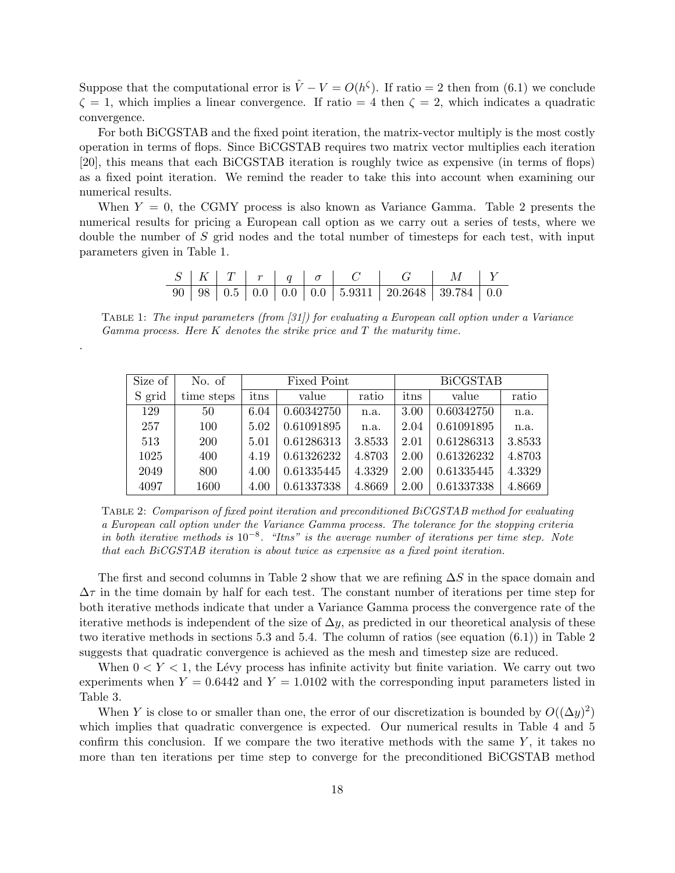Suppose that the computational error is  $\hat{V} - V = O(h^{\zeta})$ . If ratio = 2 then from (6.1) we conclude  $\zeta = 1$ , which implies a linear convergence. If ratio = 4 then  $\zeta = 2$ , which indicates a quadratic convergence.

For both BiCGSTAB and the fixed point iteration, the matrix-vector multiply is the most costly operation in terms of flops. Since BiCGSTAB requires two matrix vector multiplies each iteration [20], this means that each BiCGSTAB iteration is roughly twice as expensive (in terms of flops) as a fixed point iteration. We remind the reader to take this into account when examining our numerical results.

When  $Y = 0$ , the CGMY process is also known as Variance Gamma. Table 2 presents the numerical results for pricing a European call option as we carry out a series of tests, where we double the number of S grid nodes and the total number of timesteps for each test, with input parameters given in Table 1.

|  |  |  | $S \mid K \mid T \mid r \mid q \mid \sigma \mid C \mid G \mid M \mid Y$ |  |
|--|--|--|-------------------------------------------------------------------------|--|
|  |  |  |                                                                         |  |

Table 1: The input parameters (from [31]) for evaluating a European call option under a Variance Gamma process. Here  $K$  denotes the strike price and  $T$  the maturity time.

.

| Size of | No. of     |      | Fixed Point |        | <b>BiCGSTAB</b> |            |        |  |
|---------|------------|------|-------------|--------|-----------------|------------|--------|--|
| S grid  | time steps | itns | value       | ratio  | itns            | value      | ratio  |  |
| 129     | 50         | 6.04 | 0.60342750  | n.a.   | 3.00            | 0.60342750 | n.a.   |  |
| 257     | 100        | 5.02 | 0.61091895  | n.a.   | 2.04            | 0.61091895 | n.a.   |  |
| 513     | <b>200</b> | 5.01 | 0.61286313  | 3.8533 | 2.01            | 0.61286313 | 3.8533 |  |
| 1025    | 400        | 4.19 | 0.61326232  | 4.8703 | 2.00            | 0.61326232 | 4.8703 |  |
| 2049    | 800        | 4.00 | 0.61335445  | 4.3329 | 2.00            | 0.61335445 | 4.3329 |  |
| 4097    | 1600       | 4.00 | 0.61337338  | 4.8669 | 2.00            | 0.61337338 | 4.8669 |  |

Table 2: Comparison of fixed point iteration and preconditioned BiCGSTAB method for evaluating a European call option under the Variance Gamma process. The tolerance for the stopping criteria in both iterative methods is 10<sup>-8</sup>. "Itns" is the average number of iterations per time step. Note that each BiCGSTAB iteration is about twice as expensive as a fixed point iteration.

The first and second columns in Table 2 show that we are refining  $\Delta S$  in the space domain and  $\Delta\tau$  in the time domain by half for each test. The constant number of iterations per time step for both iterative methods indicate that under a Variance Gamma process the convergence rate of the iterative methods is independent of the size of  $\Delta y$ , as predicted in our theoretical analysis of these two iterative methods in sections 5.3 and 5.4. The column of ratios (see equation (6.1)) in Table 2 suggests that quadratic convergence is achieved as the mesh and timestep size are reduced.

When  $0 < Y < 1$ , the Lévy process has infinite activity but finite variation. We carry out two experiments when  $Y = 0.6442$  and  $Y = 1.0102$  with the corresponding input parameters listed in Table 3.

When Y is close to or smaller than one, the error of our discretization is bounded by  $O((\Delta y)^2)$ which implies that quadratic convergence is expected. Our numerical results in Table 4 and 5 confirm this conclusion. If we compare the two iterative methods with the same  $Y$ , it takes no more than ten iterations per time step to converge for the preconditioned BiCGSTAB method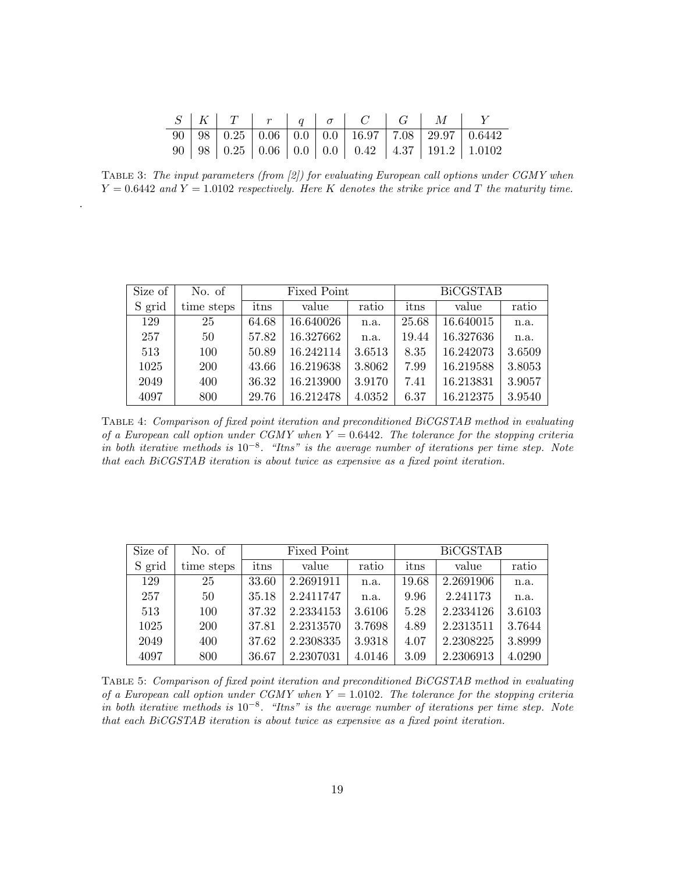|  |  |  | $S \mid K \mid T \mid r \mid q \mid \sigma \mid C \mid G \mid M \mid$ |  |                                                                                               |
|--|--|--|-----------------------------------------------------------------------|--|-----------------------------------------------------------------------------------------------|
|  |  |  |                                                                       |  | $\boxed{90}$   98   0.25   0.06   0.0   0.0   16.97   7.08   29.97   0.6442                   |
|  |  |  |                                                                       |  | $90 \mid 98 \mid 0.25 \mid 0.06 \mid 0.0 \mid 0.0 \mid 0.42 \mid 4.37 \mid 191.2 \mid 1.0102$ |

Table 3: The input parameters (from [2]) for evaluating European call options under CGMY when  $Y = 0.6442$  and  $Y = 1.0102$  respectively. Here K denotes the strike price and T the maturity time.

.

| Size of | No. of     |       | Fixed Point |        | <b>BiCGSTAB</b> |           |        |  |
|---------|------------|-------|-------------|--------|-----------------|-----------|--------|--|
| S grid  | time steps | itns  | value       | ratio  | itns            | value     | ratio  |  |
| 129     | 25         | 64.68 | 16.640026   | n.a.   | 25.68           | 16.640015 | n.a.   |  |
| 257     | 50         | 57.82 | 16.327662   | n.a.   | 19.44           | 16.327636 | n.a.   |  |
| 513     | 100        | 50.89 | 16.242114   | 3.6513 | 8.35            | 16.242073 | 3.6509 |  |
| 1025    | <b>200</b> | 43.66 | 16.219638   | 3.8062 | 7.99            | 16.219588 | 3.8053 |  |
| 2049    | 400        | 36.32 | 16.213900   | 3.9170 | 7.41            | 16.213831 | 3.9057 |  |
| 4097    | 800        | 29.76 | 16.212478   | 4.0352 | 6.37            | 16.212375 | 3.9540 |  |

Table 4: Comparison of fixed point iteration and preconditioned BiCGSTAB method in evaluating of a European call option under CGMY when  $Y = 0.6442$ . The tolerance for the stopping criteria in both iterative methods is 10<sup>-8</sup>. "Itns" is the average number of iterations per time step. Note that each BiCGSTAB iteration is about twice as expensive as a fixed point iteration.

| Size of | No. of     |       | Fixed Point |        | <b>BiCGSTAB</b> |           |        |  |
|---------|------------|-------|-------------|--------|-----------------|-----------|--------|--|
| S grid  | time steps | itns  | value       | ratio  | itns            | value     | ratio  |  |
| 129     | 25         | 33.60 | 2.2691911   | n.a.   | 19.68           | 2.2691906 | n.a.   |  |
| 257     | 50         | 35.18 | 2.2411747   | n.a.   | 9.96            | 2.241173  | n.a.   |  |
| 513     | 100        | 37.32 | 2.2334153   | 3.6106 | 5.28            | 2.2334126 | 3.6103 |  |
| 1025    | <b>200</b> | 37.81 | 2.2313570   | 3.7698 | 4.89            | 2.2313511 | 3.7644 |  |
| 2049    | 400        | 37.62 | 2.2308335   | 3.9318 | 4.07            | 2.2308225 | 3.8999 |  |
| 4097    | 800        | 36.67 | 2.2307031   | 4.0146 | 3.09            | 2.2306913 | 4.0290 |  |

Table 5: Comparison of fixed point iteration and preconditioned BiCGSTAB method in evaluating of a European call option under CGMY when  $Y = 1.0102$ . The tolerance for the stopping criteria in both iterative methods is 10<sup>-8</sup>. "Itns" is the average number of iterations per time step. Note that each BiCGSTAB iteration is about twice as expensive as a fixed point iteration.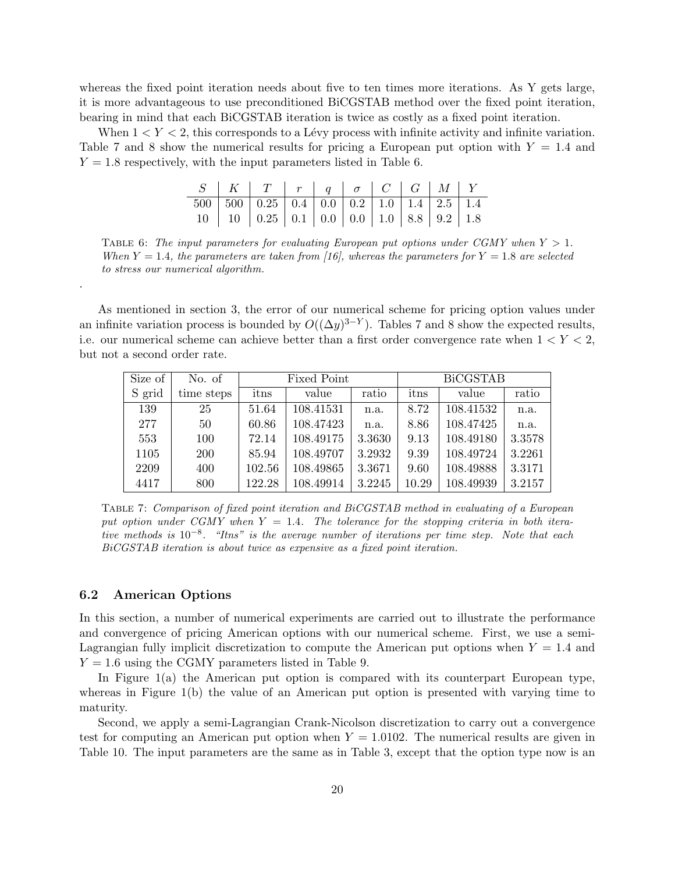whereas the fixed point iteration needs about five to ten times more iterations. As Y gets large, it is more advantageous to use preconditioned BiCGSTAB method over the fixed point iteration, bearing in mind that each BiCGSTAB iteration is twice as costly as a fixed point iteration.

When  $1 < Y < 2$ , this corresponds to a Lévy process with infinite activity and infinite variation. Table 7 and 8 show the numerical results for pricing a European put option with  $Y = 1.4$  and  $Y = 1.8$  respectively, with the input parameters listed in Table 6.

|  | $S$   K   T   r   q   $\sigma$   C   G   M   Y                                        |  |  |  |  |
|--|---------------------------------------------------------------------------------------|--|--|--|--|
|  |                                                                                       |  |  |  |  |
|  | $10 \mid 10 \mid 0.25 \mid 0.1 \mid 0.0 \mid 0.0 \mid 1.0 \mid 8.8 \mid 9.2 \mid 1.8$ |  |  |  |  |

TABLE 6: The input parameters for evaluating European put options under CGMY when  $Y > 1$ . When  $Y = 1.4$ , the parameters are taken from [16], whereas the parameters for  $Y = 1.8$  are selected to stress our numerical algorithm.

As mentioned in section 3, the error of our numerical scheme for pricing option values under an infinite variation process is bounded by  $O((\Delta y)^{3-Y})$ . Tables 7 and 8 show the expected results, i.e. our numerical scheme can achieve better than a first order convergence rate when  $1 < Y < 2$ , but not a second order rate.

| Size of | No. of     |        | Fixed Point |        | <b>BiCGSTAB</b> |           |        |  |
|---------|------------|--------|-------------|--------|-----------------|-----------|--------|--|
| S grid  | time steps | itns   | value       | ratio  | itns            | value     | ratio  |  |
| 139     | 25         | 51.64  | 108.41531   | n.a.   | 8.72            | 108.41532 | n.a.   |  |
| 277     | 50         | 60.86  | 108.47423   | n.a.   | 8.86            | 108.47425 | n.a.   |  |
| 553     | 100        | 72.14  | 108.49175   | 3.3630 | 9.13            | 108.49180 | 3.3578 |  |
| 1105    | <b>200</b> | 85.94  | 108.49707   | 3.2932 | 9.39            | 108.49724 | 3.2261 |  |
| 2209    | 400        | 102.56 | 108.49865   | 3.3671 | 9.60            | 108.49888 | 3.3171 |  |
| 4417    | 800        | 122.28 | 108.49914   | 3.2245 | 10.29           | 108.49939 | 3.2157 |  |

Table 7: Comparison of fixed point iteration and BiCGSTAB method in evaluating of a European put option under CGMY when  $Y = 1.4$ . The tolerance for the stopping criteria in both iterative methods is 10<sup>-8</sup>. "Itns" is the average number of iterations per time step. Note that each BiCGSTAB iteration is about twice as expensive as a fixed point iteration.

#### 6.2 American Options

.

In this section, a number of numerical experiments are carried out to illustrate the performance and convergence of pricing American options with our numerical scheme. First, we use a semi-Lagrangian fully implicit discretization to compute the American put options when  $Y = 1.4$  and  $Y = 1.6$  using the CGMY parameters listed in Table 9.

In Figure 1(a) the American put option is compared with its counterpart European type, whereas in Figure 1(b) the value of an American put option is presented with varying time to maturity.

Second, we apply a semi-Lagrangian Crank-Nicolson discretization to carry out a convergence test for computing an American put option when  $Y = 1.0102$ . The numerical results are given in Table 10. The input parameters are the same as in Table 3, except that the option type now is an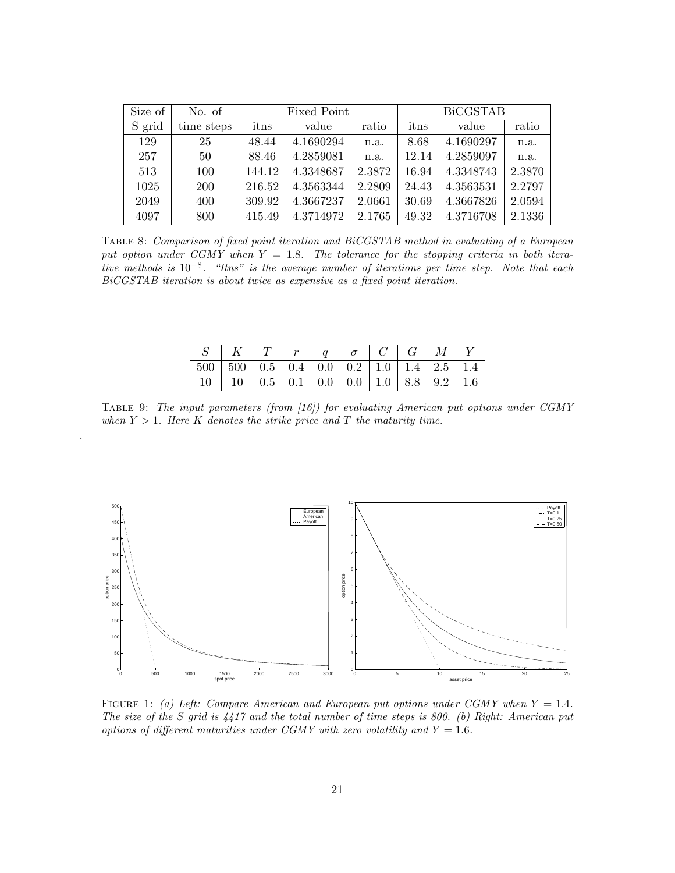| Size of | No. of     |        | Fixed Point |        | <b>BiCGSTAB</b> |           |        |  |
|---------|------------|--------|-------------|--------|-----------------|-----------|--------|--|
| S grid  | time steps | itns   | value       | ratio  | itns            | value     | ratio  |  |
| 129     | 25         | 48.44  | 4.1690294   | n.a.   | 8.68            | 4.1690297 | n.a.   |  |
| 257     | 50         | 88.46  | 4.2859081   | n.a.   | 12.14           | 4.2859097 | n.a.   |  |
| 513     | 100        | 144.12 | 4.3348687   | 2.3872 | 16.94           | 4.3348743 | 2.3870 |  |
| 1025    | 200        | 216.52 | 4.3563344   | 2.2809 | 24.43           | 4.3563531 | 2.2797 |  |
| 2049    | 400        | 309.92 | 4.3667237   | 2.0661 | 30.69           | 4.3667826 | 2.0594 |  |
| 4097    | 800        | 415.49 | 4.3714972   | 2.1765 | 49.32           | 4.3716708 | 2.1336 |  |

Table 8: Comparison of fixed point iteration and BiCGSTAB method in evaluating of a European put option under CGMY when  $Y = 1.8$ . The tolerance for the stopping criteria in both iterative methods is 10−<sup>8</sup> . "Itns" is the average number of iterations per time step. Note that each BiCGSTAB iteration is about twice as expensive as a fixed point iteration.

| $S$   K   T   r   q   $\sigma$   C   G   M   Y |  |  |  |  |
|------------------------------------------------|--|--|--|--|
|                                                |  |  |  |  |
|                                                |  |  |  |  |

Table 9: The input parameters (from [16]) for evaluating American put options under CGMY when  $Y > 1$ . Here K denotes the strike price and T the maturity time.

.



FIGURE 1: (a) Left: Compare American and European put options under CGMY when  $Y = 1.4$ . The size of the S grid is 4417 and the total number of time steps is 800. (b) Right: American put options of different maturities under CGMY with zero volatility and  $Y = 1.6$ .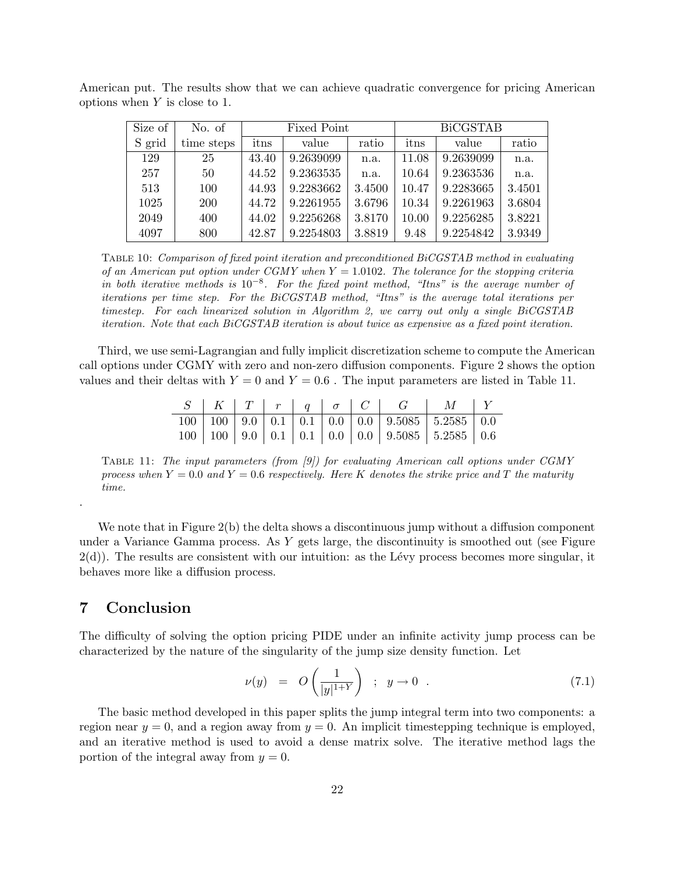| Size of | No. of     |       | Fixed Point |        | <b>BiCGSTAB</b> |           |        |  |
|---------|------------|-------|-------------|--------|-----------------|-----------|--------|--|
| S grid  | time steps | itns  | value       | ratio  | itns            | value     | ratio  |  |
| 129     | 25         | 43.40 | 9.2639099   | n.a.   | 11.08           | 9.2639099 | n.a.   |  |
| 257     | 50         | 44.52 | 9.2363535   | n.a.   | 10.64           | 9.2363536 | n.a.   |  |
| 513     | 100        | 44.93 | 9.2283662   | 3.4500 | 10.47           | 9.2283665 | 3.4501 |  |
| 1025    | <b>200</b> | 44.72 | 9.2261955   | 3.6796 | 10.34           | 9.2261963 | 3.6804 |  |
| 2049    | 400        | 44.02 | 9.2256268   | 3.8170 | 10.00           | 9.2256285 | 3.8221 |  |
| 4097    | 800        | 42.87 | 9.2254803   | 3.8819 | 9.48            | 9.2254842 | 3.9349 |  |

American put. The results show that we can achieve quadratic convergence for pricing American options when  $Y$  is close to 1.

Table 10: Comparison of fixed point iteration and preconditioned BiCGSTAB method in evaluating of an American put option under  $CGMY$  when  $Y = 1.0102$ . The tolerance for the stopping criteria in both iterative methods is  $10^{-8}$ . For the fixed point method, "Itns" is the average number of iterations per time step. For the BiCGSTAB method, "Itns" is the average total iterations per timestep. For each linearized solution in Algorithm 2, we carry out only a single BiCGSTAB iteration. Note that each BiCGSTAB iteration is about twice as expensive as a fixed point iteration.

Third, we use semi-Lagrangian and fully implicit discretization scheme to compute the American call options under CGMY with zero and non-zero diffusion components. Figure 2 shows the option values and their deltas with  $Y = 0$  and  $Y = 0.6$ . The input parameters are listed in Table 11.

|  |  |  | $S$   $K$   $T$   $r$   $q$   $\sigma$   $C$   $G$   $M$   $Y$ |  |
|--|--|--|----------------------------------------------------------------|--|
|  |  |  |                                                                |  |
|  |  |  |                                                                |  |

TABLE 11: The input parameters (from  $(9)$ ) for evaluating American call options under CGMY process when  $Y = 0.0$  and  $Y = 0.6$  respectively. Here K denotes the strike price and T the maturity time.

We note that in Figure 2(b) the delta shows a discontinuous jump without a diffusion component under a Variance Gamma process. As  $Y$  gets large, the discontinuity is smoothed out (see Figure  $2(d)$ ). The results are consistent with our intuition: as the Lévy process becomes more singular, it behaves more like a diffusion process.

### 7 Conclusion

.

The difficulty of solving the option pricing PIDE under an infinite activity jump process can be characterized by the nature of the singularity of the jump size density function. Let

$$
\nu(y) = O\left(\frac{1}{|y|^{1+Y}}\right) \; ; \; y \to 0 \; . \tag{7.1}
$$

The basic method developed in this paper splits the jump integral term into two components: a region near  $y = 0$ , and a region away from  $y = 0$ . An implicit timestepping technique is employed, and an iterative method is used to avoid a dense matrix solve. The iterative method lags the portion of the integral away from  $y = 0$ .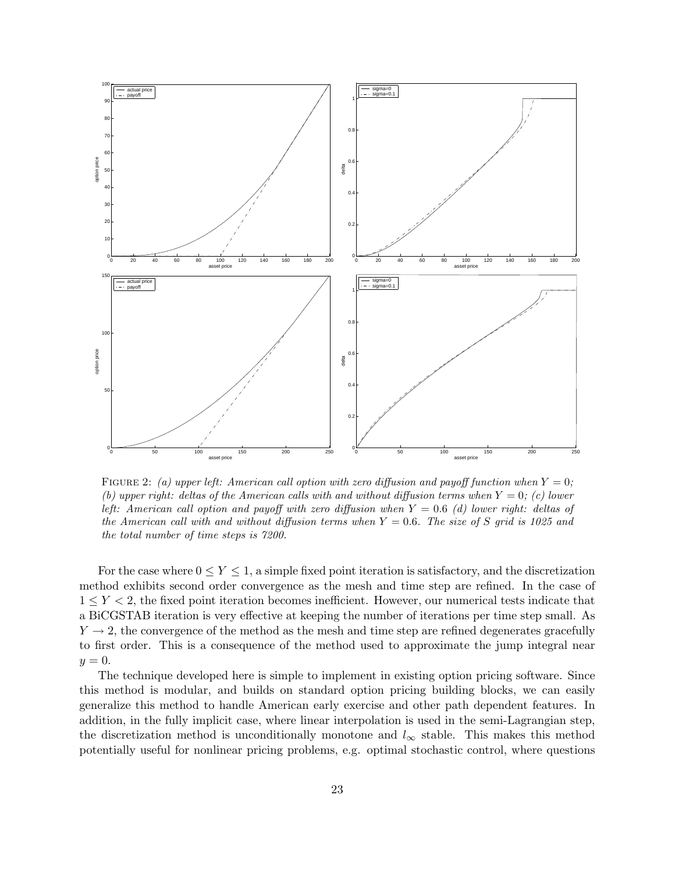

FIGURE 2: (a) upper left: American call option with zero diffusion and payoff function when  $Y = 0$ ; (b) upper right: deltas of the American calls with and without diffusion terms when  $Y = 0$ ; (c) lower left: American call option and payoff with zero diffusion when  $Y = 0.6$  (d) lower right: deltas of the American call with and without diffusion terms when  $Y = 0.6$ . The size of S grid is 1025 and the total number of time steps is 7200.

For the case where  $0 \le Y \le 1$ , a simple fixed point iteration is satisfactory, and the discretization method exhibits second order convergence as the mesh and time step are refined. In the case of  $1 \le Y \le 2$ , the fixed point iteration becomes inefficient. However, our numerical tests indicate that a BiCGSTAB iteration is very effective at keeping the number of iterations per time step small. As  $Y \rightarrow 2$ , the convergence of the method as the mesh and time step are refined degenerates gracefully to first order. This is a consequence of the method used to approximate the jump integral near  $y=0.$ 

The technique developed here is simple to implement in existing option pricing software. Since this method is modular, and builds on standard option pricing building blocks, we can easily generalize this method to handle American early exercise and other path dependent features. In addition, in the fully implicit case, where linear interpolation is used in the semi-Lagrangian step, the discretization method is unconditionally monotone and  $l_{\infty}$  stable. This makes this method potentially useful for nonlinear pricing problems, e.g. optimal stochastic control, where questions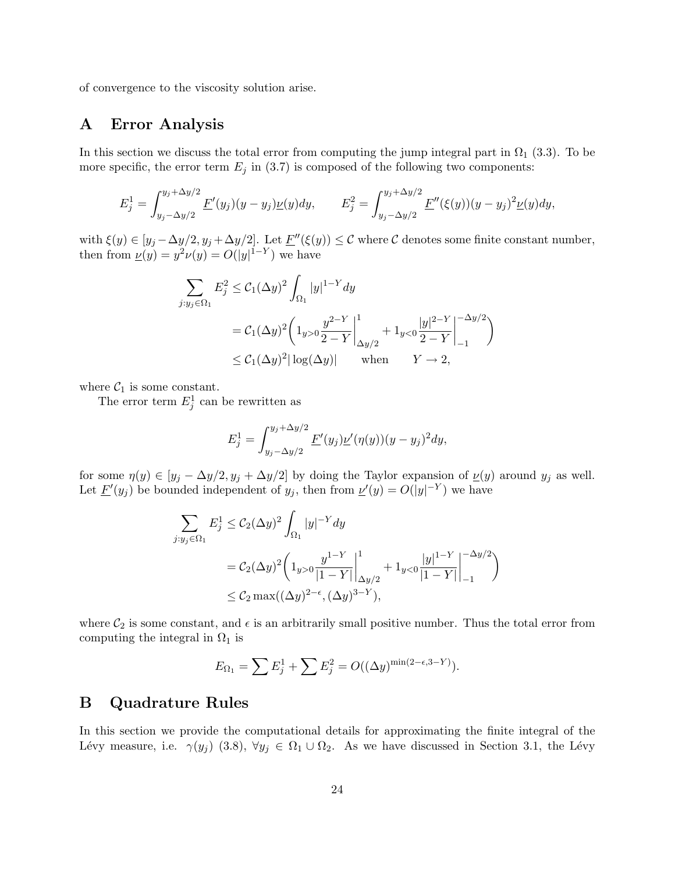of convergence to the viscosity solution arise.

## A Error Analysis

In this section we discuss the total error from computing the jump integral part in  $\Omega_1$  (3.3). To be more specific, the error term  $E_j$  in (3.7) is composed of the following two components:

$$
E_j^1 = \int_{y_j - \Delta y/2}^{y_j + \Delta y/2} \underline{F}'(y_j)(y - y_j) \underline{\nu}(y) dy, \qquad E_j^2 = \int_{y_j - \Delta y/2}^{y_j + \Delta y/2} \underline{F}''(\xi(y)) (y - y_j)^2 \underline{\nu}(y) dy,
$$

with  $\xi(y) \in [y_j - \Delta y/2, y_j + \Delta y/2]$ . Let  $\underline{F}''(\xi(y)) \leq C$  where C denotes some finite constant number, then from  $\underline{\nu}(y) = y^2 \nu(y) = O(|y|^{1-Y})$  we have

$$
\sum_{j:y_j \in \Omega_1} E_j^2 \le C_1 (\Delta y)^2 \int_{\Omega_1} |y|^{1-Y} dy
$$
  
=  $C_1 (\Delta y)^2 \left( 1_{y>0} \frac{y^{2-Y}}{2-Y} \Big|_{\Delta y/2}^1 + 1_{y<0} \frac{|y|^{2-Y}}{2-Y} \Big|_{-1}^{-\Delta y/2} \right)$   
 $\le C_1 (\Delta y)^2 |\log(\Delta y)|$  when  $Y \to 2$ ,

where  $C_1$  is some constant.

The error term  $E_j^1$  can be rewritten as

$$
E_j^1 = \int_{y_j - \Delta y/2}^{y_j + \Delta y/2} \underline{F}'(y_j) \underline{\nu}'(\eta(y))(y - y_j)^2 dy,
$$

for some  $\eta(y) \in [y_j - \Delta y/2, y_j + \Delta y/2]$  by doing the Taylor expansion of  $\underline{\nu}(y)$  around  $y_j$  as well. Let  $\underline{F}'(y_j)$  be bounded independent of  $y_j$ , then from  $\underline{\nu}'(y) = O(|y|^{-Y})$  we have

$$
\sum_{j:y_j \in \Omega_1} E_j^1 \le C_2(\Delta y)^2 \int_{\Omega_1} |y|^{-Y} dy
$$
  
=  $C_2(\Delta y)^2 \left( 1_{y>0} \frac{y^{1-Y}}{|1-Y|} \Big|_{\Delta y/2}^1 + 1_{y<0} \frac{|y|^{1-Y}}{|1-Y|} \Big|_{-1}^{-\Delta y/2} \right)$   
 $\le C_2 \max((\Delta y)^{2-\epsilon}, (\Delta y)^{3-Y}),$ 

where  $\mathcal{C}_2$  is some constant, and  $\epsilon$  is an arbitrarily small positive number. Thus the total error from computing the integral in  $\Omega_1$  is

$$
E_{\Omega_1} = \sum E_j^1 + \sum E_j^2 = O((\Delta y)^{\min(2-\epsilon, 3-Y)}).
$$

### B Quadrature Rules

In this section we provide the computational details for approximating the finite integral of the Lévy measure, i.e.  $\gamma(y_j)$  (3.8),  $\forall y_j \in \Omega_1 \cup \Omega_2$ . As we have discussed in Section 3.1, the Lévy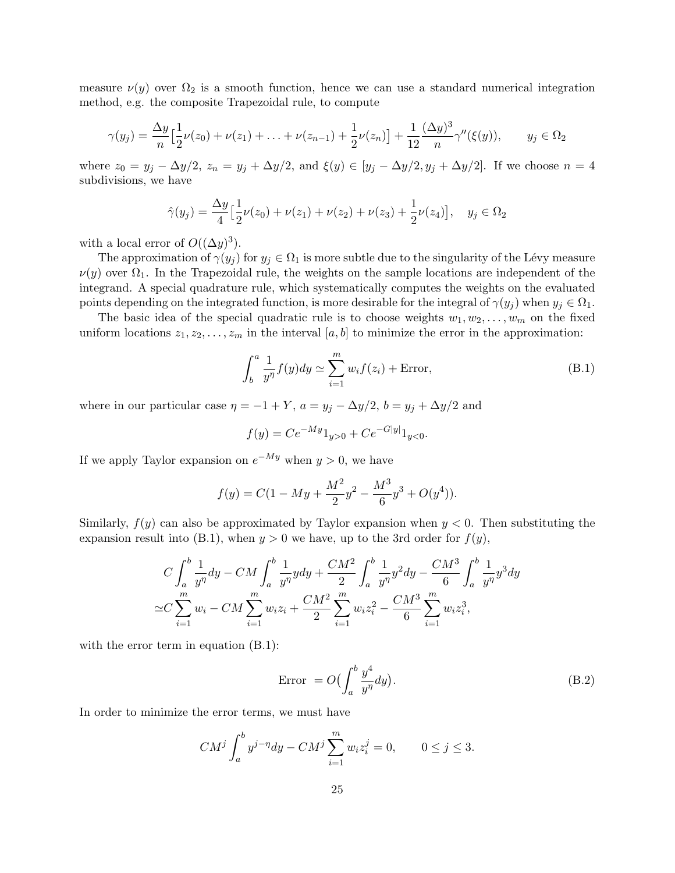measure  $\nu(y)$  over  $\Omega_2$  is a smooth function, hence we can use a standard numerical integration method, e.g. the composite Trapezoidal rule, to compute

$$
\gamma(y_j) = \frac{\Delta y}{n} \Big[ \frac{1}{2} \nu(z_0) + \nu(z_1) + \ldots + \nu(z_{n-1}) + \frac{1}{2} \nu(z_n) \Big] + \frac{1}{12} \frac{(\Delta y)^3}{n} \gamma''(\xi(y)), \qquad y_j \in \Omega_2
$$

where  $z_0 = y_j - \Delta y/2$ ,  $z_n = y_j + \Delta y/2$ , and  $\xi(y) \in [y_j - \Delta y/2, y_j + \Delta y/2]$ . If we choose  $n = 4$ subdivisions, we have

$$
\hat{\gamma}(y_j) = \frac{\Delta y}{4} \left[ \frac{1}{2} \nu(z_0) + \nu(z_1) + \nu(z_2) + \nu(z_3) + \frac{1}{2} \nu(z_4) \right], \quad y_j \in \Omega_2
$$

with a local error of  $O((\Delta y)^3)$ .

The approximation of  $\gamma(y_j)$  for  $y_j \in \Omega_1$  is more subtle due to the singularity of the Lévy measure  $\nu(y)$  over  $\Omega_1$ . In the Trapezoidal rule, the weights on the sample locations are independent of the integrand. A special quadrature rule, which systematically computes the weights on the evaluated points depending on the integrated function, is more desirable for the integral of  $\gamma(y_i)$  when  $y_i \in \Omega_1$ .

The basic idea of the special quadratic rule is to choose weights  $w_1, w_2, \ldots, w_m$  on the fixed uniform locations  $z_1, z_2, \ldots, z_m$  in the interval  $[a, b]$  to minimize the error in the approximation:

$$
\int_{b}^{a} \frac{1}{y^{\eta}} f(y) dy \simeq \sum_{i=1}^{m} w_{i} f(z_{i}) + \text{Error}, \qquad (B.1)
$$

where in our particular case  $\eta = -1 + Y$ ,  $a = y_j - \Delta y/2$ ,  $b = y_j + \Delta y/2$  and

$$
f(y) = Ce^{-My}1_{y>0} + Ce^{-G|y|}1_{y<0}.
$$

If we apply Taylor expansion on  $e^{-My}$  when  $y > 0$ , we have

$$
f(y) = C(1 - My + \frac{M^2}{2}y^2 - \frac{M^3}{6}y^3 + O(y^4)).
$$

Similarly,  $f(y)$  can also be approximated by Taylor expansion when  $y < 0$ . Then substituting the expansion result into (B.1), when  $y > 0$  we have, up to the 3rd order for  $f(y)$ ,

$$
C\int_{a}^{b} \frac{1}{y^{\eta}} dy - CM \int_{a}^{b} \frac{1}{y^{\eta}} y dy + \frac{CM^{2}}{2} \int_{a}^{b} \frac{1}{y^{\eta}} y^{2} dy - \frac{CM^{3}}{6} \int_{a}^{b} \frac{1}{y^{\eta}} y^{3} dy
$$
  

$$
\simeq C\sum_{i=1}^{m} w_{i} - CM \sum_{i=1}^{m} w_{i} z_{i} + \frac{CM^{2}}{2} \sum_{i=1}^{m} w_{i} z_{i}^{2} - \frac{CM^{3}}{6} \sum_{i=1}^{m} w_{i} z_{i}^{3},
$$

with the error term in equation  $(B.1)$ :

$$
Error = O\left(\int_{a}^{b} \frac{y^4}{y^{\eta}} dy\right). \tag{B.2}
$$

In order to minimize the error terms, we must have

$$
CM^{j} \int_{a}^{b} y^{j-\eta} dy - CM^{j} \sum_{i=1}^{m} w_{i} z_{i}^{j} = 0, \qquad 0 \le j \le 3.
$$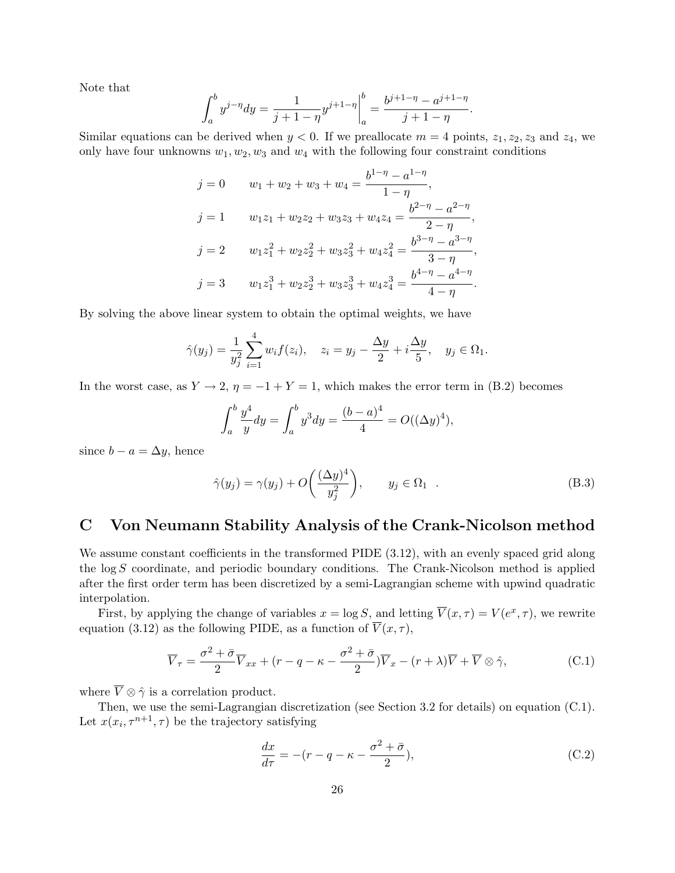Note that

$$
\int_{a}^{b} y^{j-\eta} dy = \frac{1}{j+1-\eta} y^{j+1-\eta} \bigg|_{a}^{b} = \frac{b^{j+1-\eta} - a^{j+1-\eta}}{j+1-\eta}.
$$

Similar equations can be derived when  $y < 0$ . If we preallocate  $m = 4$  points,  $z_1, z_2, z_3$  and  $z_4$ , we only have four unknowns  $w_1, w_2, w_3$  and  $w_4$  with the following four constraint conditions

$$
j = 0 \t w_1 + w_2 + w_3 + w_4 = \frac{b^{1-\eta} - a^{1-\eta}}{1-\eta},
$$
  
\n
$$
j = 1 \t w_1 z_1 + w_2 z_2 + w_3 z_3 + w_4 z_4 = \frac{b^{2-\eta} - a^{2-\eta}}{2-\eta},
$$
  
\n
$$
j = 2 \t w_1 z_1^2 + w_2 z_2^2 + w_3 z_3^2 + w_4 z_4^2 = \frac{b^{3-\eta} - a^{3-\eta}}{3-\eta},
$$
  
\n
$$
j = 3 \t w_1 z_1^3 + w_2 z_2^3 + w_3 z_3^3 + w_4 z_4^3 = \frac{b^{4-\eta} - a^{4-\eta}}{4-\eta}.
$$

By solving the above linear system to obtain the optimal weights, we have

$$
\hat{\gamma}(y_j) = \frac{1}{y_j^2} \sum_{i=1}^4 w_i f(z_i), \quad z_i = y_j - \frac{\Delta y}{2} + i \frac{\Delta y}{5}, \quad y_j \in \Omega_1.
$$

In the worst case, as  $Y \to 2$ ,  $\eta = -1 + Y = 1$ , which makes the error term in (B.2) becomes

$$
\int_{a}^{b} \frac{y^{4}}{y} dy = \int_{a}^{b} y^{3} dy = \frac{(b-a)^{4}}{4} = O((\Delta y)^{4}),
$$

since  $b - a = \Delta y$ , hence

$$
\hat{\gamma}(y_j) = \gamma(y_j) + O\left(\frac{(\Delta y)^4}{y_j^2}\right), \qquad y_j \in \Omega_1 \quad . \tag{B.3}
$$

### C Von Neumann Stability Analysis of the Crank-Nicolson method

We assume constant coefficients in the transformed PIDE  $(3.12)$ , with an evenly spaced grid along the log S coordinate, and periodic boundary conditions. The Crank-Nicolson method is applied after the first order term has been discretized by a semi-Lagrangian scheme with upwind quadratic interpolation.

First, by applying the change of variables  $x = \log S$ , and letting  $\overline{V}(x, \tau) = V(e^x, \tau)$ , we rewrite equation (3.12) as the following PIDE, as a function of  $\overline{V}(x, \tau)$ ,

$$
\overline{V}_{\tau} = \frac{\sigma^2 + \bar{\sigma}}{2} \overline{V}_{xx} + (r - q - \kappa - \frac{\sigma^2 + \bar{\sigma}}{2}) \overline{V}_{x} - (r + \lambda) \overline{V} + \overline{V} \otimes \hat{\gamma},
$$
\n(C.1)

where  $\overline{V} \otimes \hat{\gamma}$  is a correlation product.

Then, we use the semi-Lagrangian discretization (see Section 3.2 for details) on equation (C.1). Let  $x(x_i, \tau^{n+1}, \tau)$  be the trajectory satisfying

$$
\frac{dx}{d\tau} = -(r - q - \kappa - \frac{\sigma^2 + \bar{\sigma}}{2}),\tag{C.2}
$$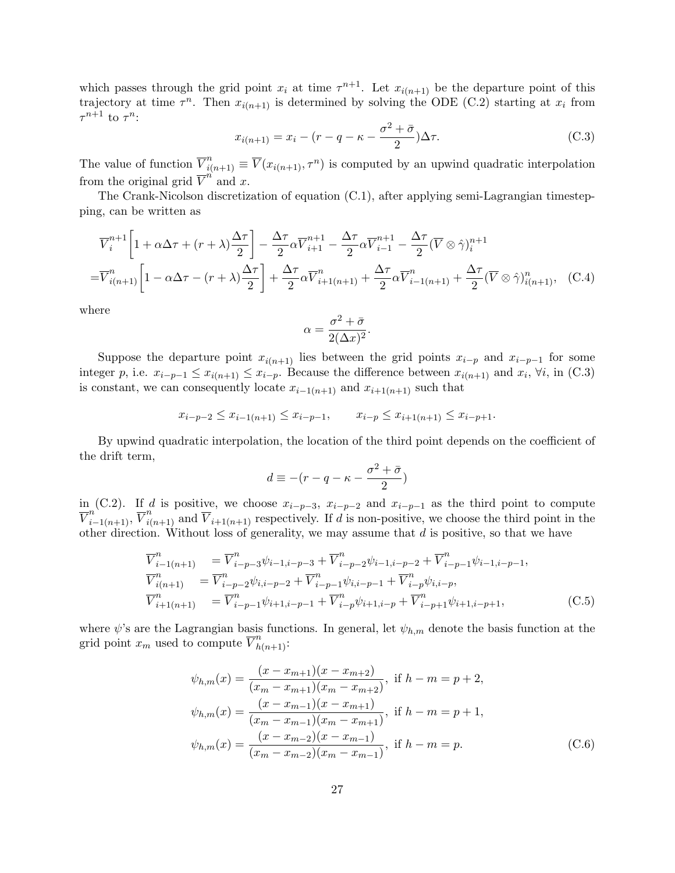which passes through the grid point  $x_i$  at time  $\tau^{n+1}$ . Let  $x_{i(n+1)}$  be the departure point of this trajectory at time  $\tau^n$ . Then  $x_{i(n+1)}$  is determined by solving the ODE (C.2) starting at  $x_i$  from  $\tau^{n+1}$  to  $\tau^n$ :

$$
x_{i(n+1)} = x_i - (r - q - \kappa - \frac{\sigma^2 + \bar{\sigma}}{2})\Delta \tau.
$$
 (C.3)

The value of function  $\overline{V}_{i(n+1)}^n \equiv \overline{V}(x_{i(n+1)}, \tau^n)$  is computed by an upwind quadratic interpolation from the original grid  $\overline{V}^n$  and x.

The Crank-Nicolson discretization of equation (C.1), after applying semi-Lagrangian timestepping, can be written as

$$
\overline{V}_{i}^{n+1} \left[ 1 + \alpha \Delta \tau + (r + \lambda) \frac{\Delta \tau}{2} \right] - \frac{\Delta \tau}{2} \alpha \overline{V}_{i+1}^{n+1} - \frac{\Delta \tau}{2} \alpha \overline{V}_{i-1}^{n+1} - \frac{\Delta \tau}{2} (\overline{V} \otimes \hat{\gamma})_{i}^{n+1}
$$
\n
$$
= \overline{V}_{i(n+1)}^{n} \left[ 1 - \alpha \Delta \tau - (r + \lambda) \frac{\Delta \tau}{2} \right] + \frac{\Delta \tau}{2} \alpha \overline{V}_{i+1(n+1)}^{n} + \frac{\Delta \tau}{2} \alpha \overline{V}_{i-1(n+1)}^{n} + \frac{\Delta \tau}{2} (\overline{V} \otimes \hat{\gamma})_{i(n+1)}^{n}, \quad (C.4)
$$

where

$$
\alpha = \frac{\sigma^2 + \bar{\sigma}}{2(\Delta x)^2}.
$$

Suppose the departure point  $x_{i(n+1)}$  lies between the grid points  $x_{i-p}$  and  $x_{i-p-1}$  for some integer p, i.e.  $x_{i-p-1} \leq x_{i(n+1)} \leq x_{i-p}$ . Because the difference between  $x_{i(n+1)}$  and  $x_i$ ,  $\forall i$ , in (C.3) is constant, we can consequently locate  $x_{i-1(n+1)}$  and  $x_{i+1(n+1)}$  such that

$$
x_{i-p-2} \le x_{i-1(n+1)} \le x_{i-p-1}, \qquad x_{i-p} \le x_{i+1(n+1)} \le x_{i-p+1}.
$$

By upwind quadratic interpolation, the location of the third point depends on the coefficient of the drift term,

$$
d \equiv -(r - q - \kappa - \frac{\sigma^2 + \bar{\sigma}}{2})
$$

in (C.2). If d is positive, we choose  $x_{i-p-3}$ ,  $x_{i-p-2}$  and  $x_{i-p-1}$  as the third point to compute  $\overline{V}_{i-1(n+1)}^n$ ,  $\overline{V}_{i(n+1)}^n$  and  $\overline{V}_{i+1(n+1)}$  respectively. If d is non-positive, we choose the third point in the other direction. Without loss of generality, we may assume that  $d$  is positive, so that we have

$$
\overline{V}_{i-1(n+1)}^n = \overline{V}_{i-p-3}^n \psi_{i-1,i-p-3} + \overline{V}_{i-p-2}^n \psi_{i-1,i-p-2} + \overline{V}_{i-p-1}^n \psi_{i-1,i-p-1},
$$
\n
$$
\overline{V}_{i(n+1)}^n = \overline{V}_{i-p-2}^n \psi_{i,i-p-2} + \overline{V}_{i-p-1}^n \psi_{i,i-p-1} + \overline{V}_{i-p}^n \psi_{i,i-p},
$$
\n
$$
\overline{V}_{i+1(n+1)}^n = \overline{V}_{i-p-1}^n \psi_{i+1,i-p-1} + \overline{V}_{i-p}^n \psi_{i+1,i-p} + \overline{V}_{i-p+1}^n \psi_{i+1,i-p+1},
$$
\n(C.5)

where  $\psi$ 's are the Lagrangian basis functions. In general, let  $\psi_{h,m}$  denote the basis function at the grid point  $x_m$  used to compute  $\overline{V}_{h(n+1)}^n$ :

$$
\psi_{h,m}(x) = \frac{(x - x_{m+1})(x - x_{m+2})}{(x_m - x_{m+1})(x_m - x_{m+2})}, \text{ if } h - m = p + 2,
$$
  
\n
$$
\psi_{h,m}(x) = \frac{(x - x_{m-1})(x - x_{m+1})}{(x_m - x_{m-1})(x_m - x_{m+1})}, \text{ if } h - m = p + 1,
$$
  
\n
$$
\psi_{h,m}(x) = \frac{(x - x_{m-2})(x - x_{m-1})}{(x_m - x_{m-2})(x_m - x_{m-1})}, \text{ if } h - m = p.
$$
\n(C.6)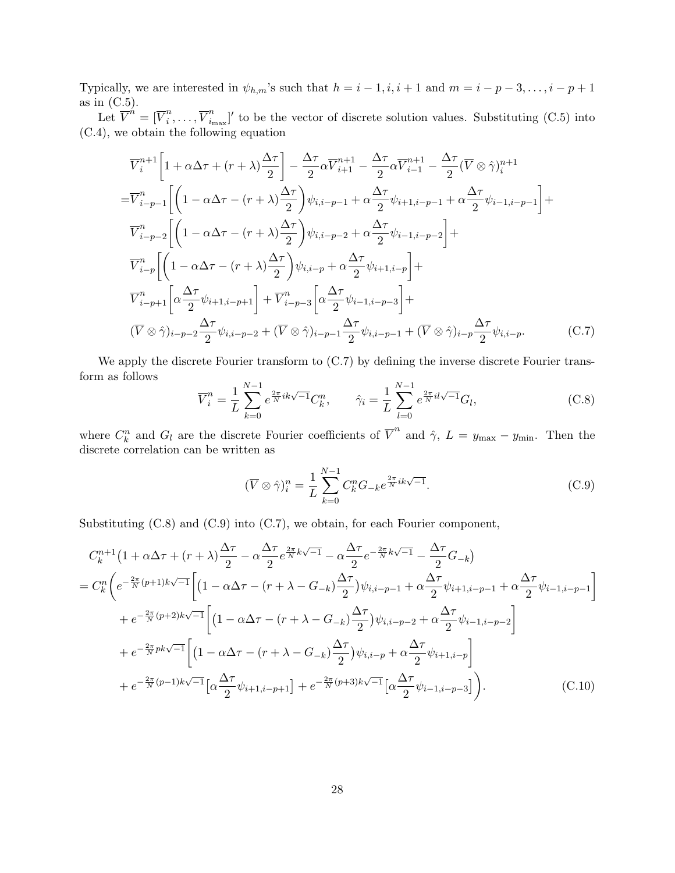Typically, we are interested in  $\psi_{h,m}$ 's such that  $h = i - 1, i, i + 1$  and  $m = i - p - 3, \ldots, i - p + 1$ as in  $(C.5)$ .

 $\mathrm{Let\ }\overline{V}^{\hat{n}}=[\overline{V}^{n}_{i}$  $\frac{n}{i}, \ldots, \overline{V}_{i_1}^n$  $i_{\text{max}}'$ ' to be the vector of discrete solution values. Substituting (C.5) into (C.4), we obtain the following equation

$$
\overline{V}_{i}^{n+1}\left[1+\alpha\Delta\tau+(r+\lambda)\frac{\Delta\tau}{2}\right]-\frac{\Delta\tau}{2}\alpha\overline{V}_{i+1}^{n+1}-\frac{\Delta\tau}{2}\alpha\overline{V}_{i-1}^{n+1}-\frac{\Delta\tau}{2}(\overline{V}\otimes\hat{\gamma})_{i}^{n+1}
$$
\n
$$
=\overline{V}_{i-p-1}^{n}\left[\left(1-\alpha\Delta\tau-(r+\lambda)\frac{\Delta\tau}{2}\right)\psi_{i,i-p-1}+\alpha\frac{\Delta\tau}{2}\psi_{i+1,i-p-1}+\alpha\frac{\Delta\tau}{2}\psi_{i-1,i-p-1}\right]+\overline{V}_{i-p-2}^{n}\left[\left(1-\alpha\Delta\tau-(r+\lambda)\frac{\Delta\tau}{2}\right)\psi_{i,i-p-2}+\alpha\frac{\Delta\tau}{2}\psi_{i-1,i-p-2}\right]+\overline{V}_{i-p}^{n}\left[\left(1-\alpha\Delta\tau-(r+\lambda)\frac{\Delta\tau}{2}\right)\psi_{i,i-p}+\alpha\frac{\Delta\tau}{2}\psi_{i+1,i-p}\right]+\overline{V}_{i-p+1}^{n}\left[\alpha\frac{\Delta\tau}{2}\psi_{i+1,i-p+1}\right]+\overline{V}_{i-p-3}^{n}\left[\alpha\frac{\Delta\tau}{2}\psi_{i-1,i-p-3}\right]+\left(\overline{V}\otimes\hat{\gamma})_{i-p-2}\frac{\Delta\tau}{2}\psi_{i,i-p-2}+(\overline{V}\otimes\hat{\gamma})_{i-p-1}\frac{\Delta\tau}{2}\psi_{i,i-p-1}+(\overline{V}\otimes\hat{\gamma})_{i-p}\frac{\Delta\tau}{2}\psi_{i,i-p}.\qquad (C.7)
$$

We apply the discrete Fourier transform to  $(C.7)$  by defining the inverse discrete Fourier transform as follows

$$
\overline{V}_{i}^{n} = \frac{1}{L} \sum_{k=0}^{N-1} e^{\frac{2\pi}{N}ik\sqrt{-1}} C_{k}^{n}, \qquad \hat{\gamma}_{i} = \frac{1}{L} \sum_{l=0}^{N-1} e^{\frac{2\pi}{N}il\sqrt{-1}} G_{l}, \qquad (C.8)
$$

where  $C_k^n$  and  $G_l$  are the discrete Fourier coefficients of  $\overline{V}^n$  and  $\hat{\gamma}$ ,  $L = y_{\text{max}} - y_{\text{min}}$ . Then the discrete correlation can be written as

$$
(\overline{V}\otimes\hat{\gamma})_i^n = \frac{1}{L}\sum_{k=0}^{N-1} C_k^n G_{-k} e^{\frac{2\pi}{N}ik\sqrt{-1}}.
$$
\n(C.9)

Substituting (C.8) and (C.9) into (C.7), we obtain, for each Fourier component,

$$
C_{k}^{n+1}(1+\alpha\Delta\tau + (r+\lambda)\frac{\Delta\tau}{2} - \alpha\frac{\Delta\tau}{2}e^{\frac{2\pi}{N}k\sqrt{-1}} - \alpha\frac{\Delta\tau}{2}e^{-\frac{2\pi}{N}k\sqrt{-1}} - \frac{\Delta\tau}{2}G_{-k})
$$
  
\n
$$
= C_{k}^{n}\bigg(e^{-\frac{2\pi}{N}(p+1)k\sqrt{-1}}\bigg[\big(1-\alpha\Delta\tau - (r+\lambda-G_{-k})\frac{\Delta\tau}{2}\big)\psi_{i,i-p-1} + \alpha\frac{\Delta\tau}{2}\psi_{i+1,i-p-1} + \alpha\frac{\Delta\tau}{2}\psi_{i-1,i-p-1}\bigg]
$$
  
\n
$$
+ e^{-\frac{2\pi}{N}(p+2)k\sqrt{-1}}\bigg[\big(1-\alpha\Delta\tau - (r+\lambda-G_{-k})\frac{\Delta\tau}{2}\big)\psi_{i,i-p-2} + \alpha\frac{\Delta\tau}{2}\psi_{i-1,i-p-2}\bigg]
$$
  
\n
$$
+ e^{-\frac{2\pi}{N}pk\sqrt{-1}}\bigg[\big(1-\alpha\Delta\tau - (r+\lambda-G_{-k})\frac{\Delta\tau}{2}\big)\psi_{i,i-p} + \alpha\frac{\Delta\tau}{2}\psi_{i+1,i-p}\bigg]
$$
  
\n
$$
+ e^{-\frac{2\pi}{N}(p-1)k\sqrt{-1}}\big[\alpha\frac{\Delta\tau}{2}\psi_{i+1,i-p+1}\big] + e^{-\frac{2\pi}{N}(p+3)k\sqrt{-1}}\big[\alpha\frac{\Delta\tau}{2}\psi_{i-1,i-p-3}\big]\bigg).
$$
 (C.10)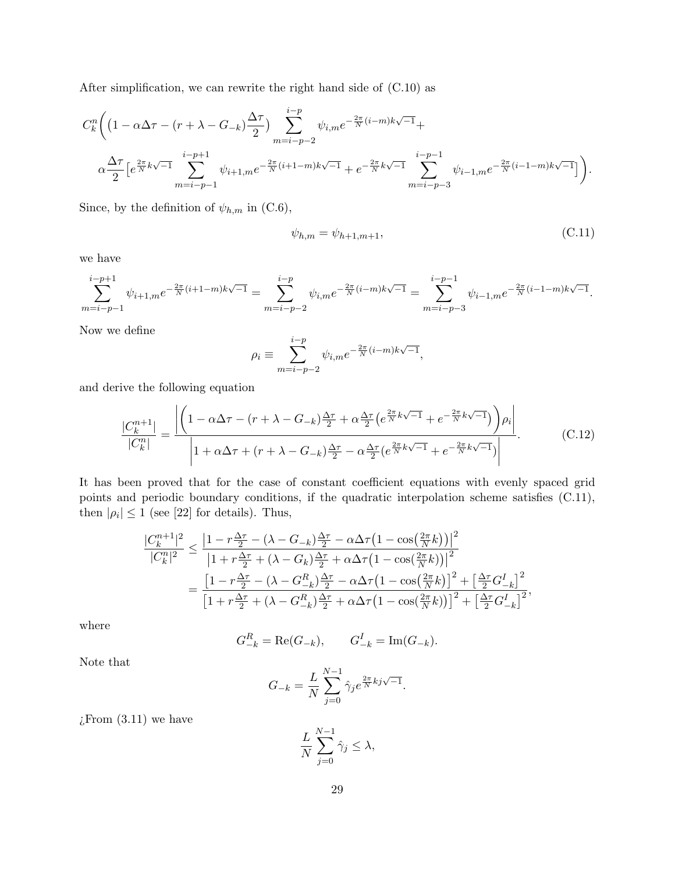After simplification, we can rewrite the right hand side of (C.10) as

$$
C_{k}^{n}\bigg(\big(1-\alpha\Delta\tau-(r+\lambda-G_{-k})\frac{\Delta\tau}{2}\big)\sum_{m=i-p-2}^{i-p}\psi_{i,m}e^{-\frac{2\pi}{N}(i-m)k\sqrt{-1}}+\alpha\frac{\Delta\tau}{2}\big[e^{\frac{2\pi}{N}k\sqrt{-1}}\sum_{m=i-p-1}^{i-p+1}\psi_{i+1,m}e^{-\frac{2\pi}{N}(i+1-m)k\sqrt{-1}}+e^{-\frac{2\pi}{N}k\sqrt{-1}}\sum_{m=i-p-3}^{i-p-1}\psi_{i-1,m}e^{-\frac{2\pi}{N}(i-1-m)k\sqrt{-1}}\big]\bigg).
$$

Since, by the definition of  $\psi_{h,m}$  in (C.6),

$$
\psi_{h,m} = \psi_{h+1,m+1},\tag{C.11}
$$

we have

$$
\sum_{m=i-p-1}^{i-p+1} \psi_{i+1,m} e^{-\frac{2\pi}{N}(i+1-m)k\sqrt{-1}} = \sum_{m=i-p-2}^{i-p} \psi_{i,m} e^{-\frac{2\pi}{N}(i-m)k\sqrt{-1}} = \sum_{m=i-p-3}^{i-p-1} \psi_{i-1,m} e^{-\frac{2\pi}{N}(i-1-m)k\sqrt{-1}}.
$$

Now we define

$$
\rho_i \equiv \sum_{m=i-p-2}^{i-p} \psi_{i,m} e^{-\frac{2\pi}{N}(i-m)k\sqrt{-1}},
$$

and derive the following equation

$$
\frac{|C_k^{n+1}|}{|C_k^n|} = \frac{\left| \left( 1 - \alpha \Delta \tau - (r + \lambda - G_{-k}) \frac{\Delta \tau}{2} + \alpha \frac{\Delta \tau}{2} \left( e^{\frac{2\pi}{N} k \sqrt{-1}} + e^{-\frac{2\pi}{N} k \sqrt{-1}} \right) \right) \rho_i \right|}{\left| 1 + \alpha \Delta \tau + (r + \lambda - G_{-k}) \frac{\Delta \tau}{2} - \alpha \frac{\Delta \tau}{2} \left( e^{\frac{2\pi}{N} k \sqrt{-1}} + e^{-\frac{2\pi}{N} k \sqrt{-1}} \right) \right|}.
$$
 (C.12)

It has been proved that for the case of constant coefficient equations with evenly spaced grid points and periodic boundary conditions, if the quadratic interpolation scheme satisfies (C.11), then  $|\rho_i| \leq 1$  (see [22] for details). Thus,

$$
\frac{|C_k^{n+1}|^2}{|C_k^n|^2} \le \frac{\left|1 - r\frac{\Delta\tau}{2} - (\lambda - G_{-k})\frac{\Delta\tau}{2} - \alpha\Delta\tau\left(1 - \cos\left(\frac{2\pi}{N}k\right)\right)\right|^2}{\left|1 + r\frac{\Delta\tau}{2} + (\lambda - G_k)\frac{\Delta\tau}{2} + \alpha\Delta\tau\left(1 - \cos\left(\frac{2\pi}{N}k\right)\right)\right|^2}
$$

$$
= \frac{\left[1 - r\frac{\Delta\tau}{2} - (\lambda - G_{-k}^R)\frac{\Delta\tau}{2} - \alpha\Delta\tau\left(1 - \cos\left(\frac{2\pi}{N}k\right)\right)^2 + \left[\frac{\Delta\tau}{2}G_{-k}^I\right]^2}{\left[1 + r\frac{\Delta\tau}{2} + (\lambda - G_{-k}^R)\frac{\Delta\tau}{2} + \alpha\Delta\tau\left(1 - \cos\left(\frac{2\pi}{N}k\right)\right)\right]^2 + \left[\frac{\Delta\tau}{2}G_{-k}^I\right]^2},
$$

where

$$
G_{-k}^R = \text{Re}(G_{-k}), \qquad G_{-k}^I = \text{Im}(G_{-k}).
$$

Note that

$$
G_{-k} = \frac{L}{N} \sum_{j=0}^{N-1} \hat{\gamma}_j e^{\frac{2\pi}{N}kj\sqrt{-1}}.
$$

 $\chi$ From  $(3.11)$  we have

$$
\frac{L}{N} \sum_{j=0}^{N-1} \hat{\gamma}_j \le \lambda,
$$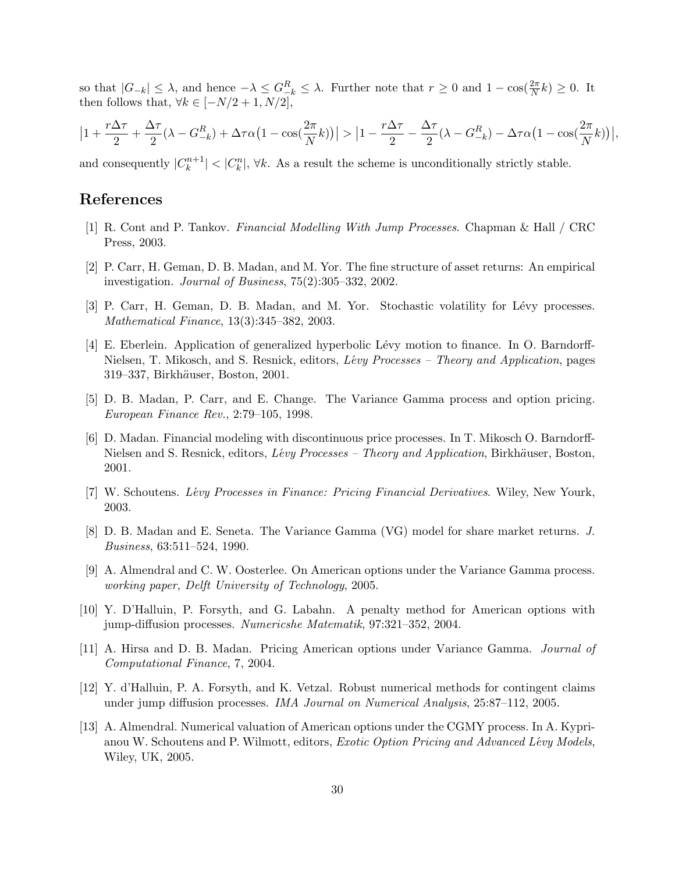so that  $|G_{-k}| \leq \lambda$ , and hence  $-\lambda \leq G_{-k}^R \leq \lambda$ . Further note that  $r \geq 0$  and  $1 - \cos(\frac{2\pi}{N}k) \geq 0$ . It then follows that,  $\forall k \in [-N/2+1, N/2]$ .

$$
\left|1+\frac{r\Delta\tau}{2}+\frac{\Delta\tau}{2}(\lambda-G_{-k}^R)+\Delta\tau\alpha\big(1-\cos(\frac{2\pi}{N}k)\big)\right|>\left|1-\frac{r\Delta\tau}{2}-\frac{\Delta\tau}{2}(\lambda-G_{-k}^R)-\Delta\tau\alpha\big(1-\cos(\frac{2\pi}{N}k)\big)\right|
$$

,

and consequently  $|C_k^{n+1}|$  $|k_k^{m+1}| < |C_k^n|$ ,  $\forall k$ . As a result the scheme is unconditionally strictly stable.

### References

- [1] R. Cont and P. Tankov. Financial Modelling With Jump Processes. Chapman & Hall / CRC Press, 2003.
- [2] P. Carr, H. Geman, D. B. Madan, and M. Yor. The fine structure of asset returns: An empirical investigation. Journal of Business, 75(2):305–332, 2002.
- [3] P. Carr, H. Geman, D. B. Madan, and M. Yor. Stochastic volatility for Lévy processes. Mathematical Finance, 13(3):345–382, 2003.
- [4] E. Eberlein. Application of generalized hyperbolic Lévy motion to finance. In O. Barndorff-Nielsen, T. Mikosch, and S. Resnick, editors, Lévy Processes – Theory and Application, pages 319–337, Birkhäuser, Boston, 2001.
- [5] D. B. Madan, P. Carr, and E. Change. The Variance Gamma process and option pricing. European Finance Rev., 2:79–105, 1998.
- [6] D. Madan. Financial modeling with discontinuous price processes. In T. Mikosch O. Barndorff-Nielsen and S. Resnick, editors, Lévy Processes - Theory and Application, Birkhäuser, Boston, 2001.
- [7] W. Schoutens. Lévy Processes in Finance: Pricing Financial Derivatives. Wiley, New Yourk, 2003.
- [8] D. B. Madan and E. Seneta. The Variance Gamma (VG) model for share market returns. J. Business, 63:511–524, 1990.
- [9] A. Almendral and C. W. Oosterlee. On American options under the Variance Gamma process. working paper, Delft University of Technology, 2005.
- [10] Y. D'Halluin, P. Forsyth, and G. Labahn. A penalty method for American options with jump-diffusion processes. Numericshe Matematik, 97:321–352, 2004.
- [11] A. Hirsa and D. B. Madan. Pricing American options under Variance Gamma. Journal of Computational Finance, 7, 2004.
- [12] Y. d'Halluin, P. A. Forsyth, and K. Vetzal. Robust numerical methods for contingent claims under jump diffusion processes. IMA Journal on Numerical Analysis, 25:87–112, 2005.
- [13] A. Almendral. Numerical valuation of American options under the CGMY process. In A. Kyprianou W. Schoutens and P. Wilmott, editors, *Exotic Option Pricing and Advanced Lévy Models*, Wiley, UK, 2005.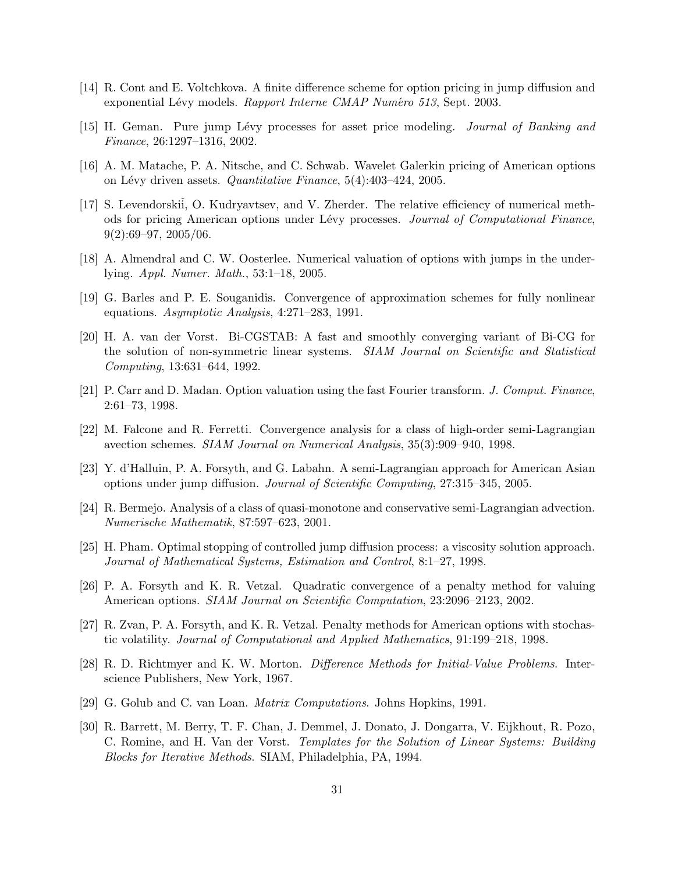- [14] R. Cont and E. Voltchkova. A finite difference scheme for option pricing in jump diffusion and exponential Lévy models. Rapport Interne CMAP Numéro 513, Sept. 2003.
- [15] H. Geman. Pure jump Lévy processes for asset price modeling. *Journal of Banking and* Finance, 26:1297–1316, 2002.
- [16] A. M. Matache, P. A. Nitsche, and C. Schwab. Wavelet Galerkin pricing of American options on Lévy driven assets. *Quantitative Finance*,  $5(4):403-424$ , 2005.
- [17] S. Levendorskii, O. Kudryavtsev, and V. Zherder. The relative efficiency of numerical methods for pricing American options under Lévy processes. Journal of Computational Finance,  $9(2):69-97, 2005/06.$
- [18] A. Almendral and C. W. Oosterlee. Numerical valuation of options with jumps in the underlying. Appl. Numer. Math., 53:1–18, 2005.
- [19] G. Barles and P. E. Souganidis. Convergence of approximation schemes for fully nonlinear equations. Asymptotic Analysis, 4:271–283, 1991.
- [20] H. A. van der Vorst. Bi-CGSTAB: A fast and smoothly converging variant of Bi-CG for the solution of non-symmetric linear systems. SIAM Journal on Scientific and Statistical Computing, 13:631–644, 1992.
- [21] P. Carr and D. Madan. Option valuation using the fast Fourier transform. J. Comput. Finance, 2:61–73, 1998.
- [22] M. Falcone and R. Ferretti. Convergence analysis for a class of high-order semi-Lagrangian avection schemes. SIAM Journal on Numerical Analysis, 35(3):909–940, 1998.
- [23] Y. d'Halluin, P. A. Forsyth, and G. Labahn. A semi-Lagrangian approach for American Asian options under jump diffusion. Journal of Scientific Computing, 27:315–345, 2005.
- [24] R. Bermejo. Analysis of a class of quasi-monotone and conservative semi-Lagrangian advection. Numerische Mathematik, 87:597–623, 2001.
- [25] H. Pham. Optimal stopping of controlled jump diffusion process: a viscosity solution approach. Journal of Mathematical Systems, Estimation and Control, 8:1–27, 1998.
- [26] P. A. Forsyth and K. R. Vetzal. Quadratic convergence of a penalty method for valuing American options. SIAM Journal on Scientific Computation, 23:2096–2123, 2002.
- [27] R. Zvan, P. A. Forsyth, and K. R. Vetzal. Penalty methods for American options with stochastic volatility. Journal of Computational and Applied Mathematics, 91:199–218, 1998.
- [28] R. D. Richtmyer and K. W. Morton. Difference Methods for Initial-Value Problems. Interscience Publishers, New York, 1967.
- [29] G. Golub and C. van Loan. Matrix Computations. Johns Hopkins, 1991.
- [30] R. Barrett, M. Berry, T. F. Chan, J. Demmel, J. Donato, J. Dongarra, V. Eijkhout, R. Pozo, C. Romine, and H. Van der Vorst. Templates for the Solution of Linear Systems: Building Blocks for Iterative Methods. SIAM, Philadelphia, PA, 1994.